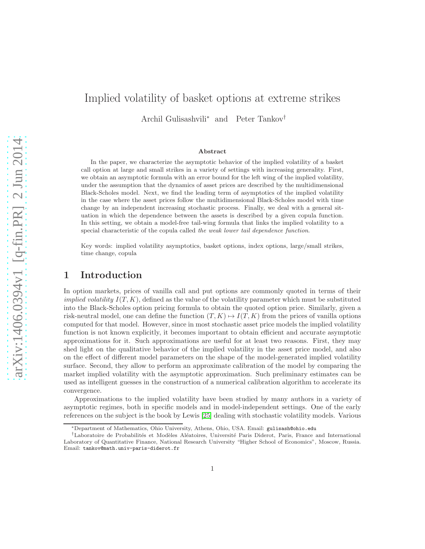# Implied volatility of basket options at extreme strikes

Archil Gulisashvili<sup>∗</sup> and Peter Tankov†

#### Abstract

In the paper, we characterize the asymptotic behavior of the implied volatility of a basket call option at large and small strikes in a variety of settings with increasing generality. First, we obtain an asymptotic formula with an error bound for the left wing of the implied volatility, under the assumption that the dynamics of asset prices are described by the multidimensional Black-Scholes model. Next, we find the leading term of asymptotics of the implied volatility in the case where the asset prices follow the multidimensional Black-Scholes model with time change by an independent increasing stochastic process. Finally, we deal with a general situation in which the dependence between the assets is described by a given copula function. In this setting, we obtain a model-free tail-wing formula that links the implied volatility to a special characteristic of the copula called the weak lower tail dependence function.

Key words: implied volatility asymptotics, basket options, index options, large/small strikes, time change, copula

### 1 Introduction

In option markets, prices of vanilla call and put options are commonly quoted in terms of their *implied volatility*  $I(T, K)$ , defined as the value of the volatility parameter which must be substituted into the Black-Scholes option pricing formula to obtain the quoted option price. Similarly, given a risk-neutral model, one can define the function  $(T, K) \mapsto I(T, K)$  from the prices of vanilla options computed for that model. However, since in most stochastic asset price models the implied volatility function is not known explicitly, it becomes important to obtain efficient and accurate asymptotic approximations for it. Such approximations are useful for at least two reasons. First, they may shed light on the qualitative behavior of the implied volatility in the asset price model, and also on the effect of different model parameters on the shape of the model-generated implied volatility surface. Second, they allow to perform an approximate calibration of the model by comparing the market implied volatility with the asymptotic approximation. Such preliminary estimates can be used as intelligent guesses in the construction of a numerical calibration algorithm to accelerate its convergence.

Approximations to the implied volatility have been studied by many authors in a variety of asymptotic regimes, both in specific models and in model-independent settings. One of the early references on the subject is the book by Lewis [\[25\]](#page-23-0) dealing with stochastic volatility models. Various

<sup>∗</sup>Department of Mathematics, Ohio University, Athens, Ohio, USA. Email: gulisash@ohio.edu

<sup>&</sup>lt;sup>†</sup>Laboratoire de Probabilités et Modèles Aléatoires, Université Paris Diderot, Paris, France and International Laboratory of Quantitative Finance, National Research University "Higher School of Economics", Moscow, Russia. Email: tankov@math.univ-paris-diderot.fr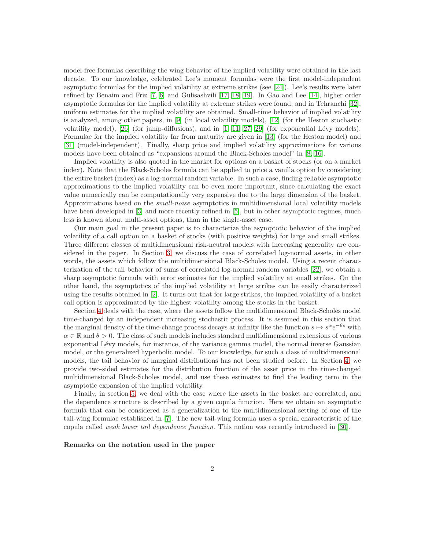model-free formulas describing the wing behavior of the implied volatility were obtained in the last decade. To our knowledge, celebrated Lee's moment formulas were the first model-independent asymptotic formulas for the implied volatility at extreme strikes (see [\[24\]](#page-23-1)). Lee's results were later refined by Benaim and Friz [\[7,](#page-22-0) [6\]](#page-22-1) and Gulisashvili [\[17,](#page-22-2) [18,](#page-22-3) [19\]](#page-22-4). In Gao and Lee [\[14\]](#page-22-5), higher order asymptotic formulas for the implied volatility at extreme strikes were found, and in Tehranchi [\[32\]](#page-23-2), uniform estimates for the implied volatility are obtained. Small-time behavior of implied volatility is analyzed, among other papers, in [\[9\]](#page-22-6) (in local volatility models), [\[12\]](#page-22-7) (for the Heston stochastic volatility model),  $[26]$  (for jump-diffusions), and in  $[1, 11, 27, 29]$  $[1, 11, 27, 29]$  $[1, 11, 27, 29]$  $[1, 11, 27, 29]$  (for exponential Lévy models). Formulae for the implied volatility far from maturity are given in [\[13\]](#page-22-9) (for the Heston model) and [\[31\]](#page-23-6) (model-independent). Finally, sharp price and implied volatility approximations for various models have been obtained as "expansions around the Black-Scholes model" in [\[8,](#page-22-10) [16\]](#page-22-11).

Implied volatility is also quoted in the market for options on a basket of stocks (or on a market index). Note that the Black-Scholes formula can be applied to price a vanilla option by considering the entire basket (index) as a log-normal random variable. In such a case, finding reliable asymptotic approximations to the implied volatility can be even more important, since calculating the exact value numerically can be computationally very expensive due to the large dimension of the basket. Approximations based on the small-noise asymptotics in multidimensional local volatility models have been developed in [\[3\]](#page-21-1) and more recently refined in [\[5\]](#page-21-2), but in other asymptotic regimes, much less is known about multi-asset options, than in the single-asset case.

Our main goal in the present paper is to characterize the asymptotic behavior of the implied volatility of a call option on a basket of stocks (with positive weights) for large and small strikes. Three different classes of multidimensional risk-neutral models with increasing generality are considered in the paper. In Section [3,](#page-3-0) we discuss the case of correlated log-normal assets, in other words, the assets which follow the multidimensional Black-Scholes model. Using a recent characterization of the tail behavior of sums of correlated log-normal random variables [\[22\]](#page-22-12), we obtain a sharp asymptotic formula with error estimates for the implied volatility at small strikes. On the other hand, the asymptotics of the implied volatility at large strikes can be easily characterized using the results obtained in [\[2\]](#page-21-3). It turns out that for large strikes, the implied volatility of a basket call option is approximated by the highest volatility among the stocks in the basket.

Section [4](#page-11-0) deals with the case, where the assets follow the multidimensional Black-Scholes model time-changed by an independent increasing stochastic process. It is assumed in this section that the marginal density of the time-change process decays at infinity like the function  $s \mapsto s^{\alpha}e^{-\theta s}$  with  $\alpha \in \mathbb{R}$  and  $\theta > 0$ . The class of such models includes standard multidimensional extensions of various exponential Lévy models, for instance, of the variance gamma model, the normal inverse Gaussian model, or the generalized hyperbolic model. To our knowledge, for such a class of multidimensional models, the tail behavior of marginal distributions has not been studied before. In Section [4,](#page-11-0) we provide two-sided estimates for the distribution function of the asset price in the time-changed multidimensional Black-Scholes model, and use these estimates to find the leading term in the asymptotic expansion of the implied volatility.

Finally, in section [5,](#page-16-0) we deal with the case where the assets in the basket are correlated, and the dependence structure is described by a given copula function. Here we obtain an asymptotic formula that can be considered as a generalization to the multidimensional setting of one of the tail-wing formulae established in [\[7\]](#page-22-0). The new tail-wing formula uses a special characteristic of the copula called weak lower tail dependence function. This notion was recently introduced in [\[30\]](#page-23-7).

#### Remarks on the notation used in the paper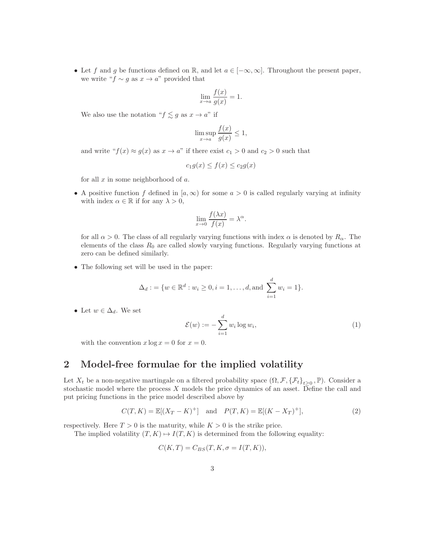• Let f and g be functions defined on R, and let  $a \in [-\infty, \infty]$ . Throughout the present paper, we write " $f \sim g$  as  $x \to a$ " provided that

$$
\lim_{x \to a} \frac{f(x)}{g(x)} = 1.
$$

We also use the notation " $f \lesssim g$  as  $x \to a$ " if

$$
\limsup_{x \to a} \frac{f(x)}{g(x)} \le 1,
$$

and write " $f(x) \approx g(x)$  as  $x \to a$ " if there exist  $c_1 > 0$  and  $c_2 > 0$  such that

$$
c_1 g(x) \le f(x) \le c_2 g(x)
$$

for all  $x$  in some neighborhood of  $a$ .

• A positive function f defined in  $[a, \infty)$  for some  $a > 0$  is called regularly varying at infinity with index  $\alpha \in \mathbb{R}$  if for any  $\lambda > 0$ ,

$$
\lim_{x \to 0} \frac{f(\lambda x)}{f(x)} = \lambda^{\alpha}.
$$

for all  $\alpha > 0$ . The class of all regularly varying functions with index  $\alpha$  is denoted by  $R_{\alpha}$ . The elements of the class  $R_0$  are called slowly varying functions. Regularly varying functions at zero can be defined similarly.

• The following set will be used in the paper:

$$
\Delta_d := \{ w \in \mathbb{R}^d : w_i \ge 0, i = 1, ..., d, \text{and } \sum_{i=1}^d w_i = 1 \}.
$$

• Let  $w \in \Delta_d$ . We set

<span id="page-2-1"></span>
$$
\mathcal{E}(w) := -\sum_{i=1}^{d} w_i \log w_i,
$$
\n(1)

with the convention  $x \log x = 0$  for  $x = 0$ .

## 2 Model-free formulae for the implied volatility

Let  $X_t$  be a non-negative martingale on a filtered probability space  $(\Omega, \mathcal{F}, {\{\mathcal{F}_t\}}_{t\geq 0}, \mathbb{P})$ . Consider a stochastic model where the process  $X$  models the price dynamics of an asset. Define the call and put pricing functions in the price model described above by

<span id="page-2-0"></span>
$$
C(T, K) = \mathbb{E}[(X_T - K)^+] \text{ and } P(T, K) = \mathbb{E}[(K - X_T)^+],
$$
 (2)

respectively. Here  $T > 0$  is the maturity, while  $K > 0$  is the strike price.

The implied volatility  $(T, K) \mapsto I(T, K)$  is determined from the following equality:

$$
C(K,T) = C_{BS}(T, K, \sigma = I(T, K)),
$$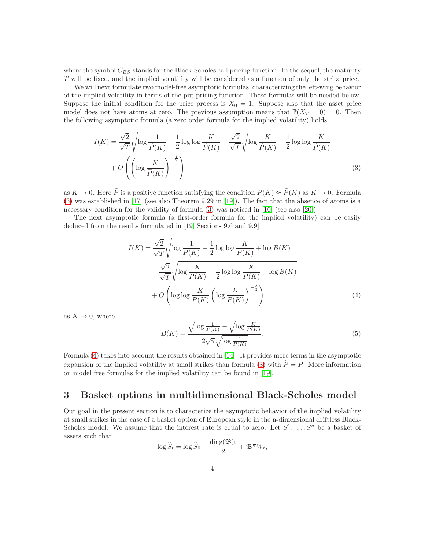where the symbol  $C_{BS}$  stands for the Black-Scholes call pricing function. In the sequel, the maturity T will be fixed, and the implied volatility will be considered as a function of only the strike price.

We will next formulate two model-free asymptotic formulas, characterizing the left-wing behavior of the implied volatility in terms of the put pricing function. These formulas will be needed below. Suppose the initial condition for the price process is  $X_0 = 1$ . Suppose also that the asset price model does not have atoms at zero. The previous assumption means that  $\mathbb{P}(X_T = 0) = 0$ . Then the following asymptotic formula (a zero order formula for the implied volatility) holds:

$$
I(K) = \frac{\sqrt{2}}{\sqrt{T}} \sqrt{\log \frac{1}{\tilde{P}(K)} - \frac{1}{2} \log \log \frac{K}{\tilde{P}(K)}} - \frac{\sqrt{2}}{\sqrt{T}} \sqrt{\log \frac{K}{\tilde{P}(K)} - \frac{1}{2} \log \log \frac{K}{\tilde{P}(K)}}
$$
  
+ 
$$
O\left(\left(\log \frac{K}{\tilde{P}(K)}\right)^{-\frac{1}{2}}\right)
$$
(3)

as  $K \to 0$ . Here  $\widetilde{P}$  is a positive function satisfying the condition  $P(K) \approx \widetilde{P}(K)$  as  $K \to 0$ . Formula [\(3\)](#page-3-1) was established in [\[17\]](#page-22-2) (see also Theorem 9.29 in [\[19\]](#page-22-4)). The fact that the absence of atoms is a necessary condition for the validity of formula [\(3\)](#page-3-1) was noticed in [\[10\]](#page-22-13) (see also [\[20\]](#page-22-14)).

The next asymptotic formula (a first-order formula for the implied volatility) can be easily deduced from the results formulated in [\[19,](#page-22-4) Sections 9.6 and 9.9]:

<span id="page-3-1"></span>
$$
I(K) = \frac{\sqrt{2}}{\sqrt{T}} \sqrt{\log \frac{1}{P(K)} - \frac{1}{2} \log \log \frac{K}{P(K)} + \log B(K)}
$$

$$
- \frac{\sqrt{2}}{\sqrt{T}} \sqrt{\log \frac{K}{P(K)} - \frac{1}{2} \log \log \frac{K}{P(K)} + \log B(K)}
$$

$$
+ O\left(\log \log \frac{K}{P(K)} \left(\log \frac{K}{P(K)}\right)^{-\frac{3}{2}}\right)
$$
(4)

as  $K \to 0$ , where

<span id="page-3-3"></span><span id="page-3-2"></span>
$$
B(K) = \frac{\sqrt{\log \frac{1}{P(K)} - \sqrt{\log \frac{K}{P(K)}}}}{2\sqrt{\pi}\sqrt{\log \frac{1}{P(K)}}}.
$$
\n
$$
(5)
$$

Formula [\(4\)](#page-3-2) takes into account the results obtained in [\[14\]](#page-22-5). It provides more terms in the asymptotic expansion of the implied volatility at small strikes than formula [\(3\)](#page-3-1) with  $\tilde{P}=P$ . More information on model free formulas for the implied volatility can be found in [\[19\]](#page-22-4).

### <span id="page-3-0"></span>3 Basket options in multidimensional Black-Scholes model

Our goal in the present section is to characterize the asymptotic behavior of the implied volatility at small strikes in the case of a basket option of European style in the n-dimensional driftless Black-Scholes model. We assume that the interest rate is equal to zero. Let  $S^1, \ldots, S^n$  be a basket of assets such that  $\langle \hat{m} \rangle$ 

$$
\log \widetilde{S}_t = \log \widetilde{S}_0 - \frac{\text{diag}(\mathfrak{B})t}{2} + \mathfrak{B}^{\frac{1}{2}} W_t,
$$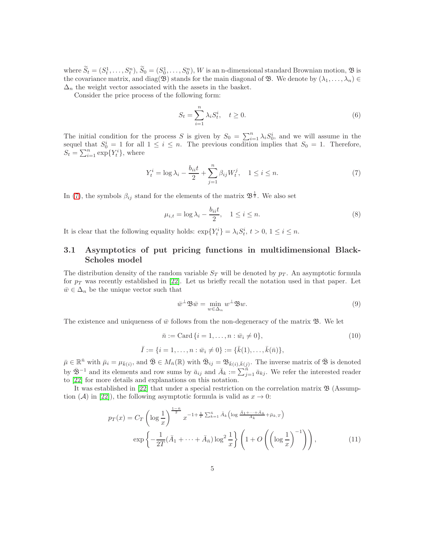where  $\widetilde{S}_t = (S_t^1, \ldots, S_t^n), \widetilde{S}_0 = (S_0^1, \ldots, S_0^n), W$  is an n-dimensional standard Brownian motion,  $\mathfrak{B}$  is the covariance matrix, and diag( $\mathfrak{B}$ ) stands for the main diagonal of  $\mathfrak{B}$ . We denote by  $(\lambda_1, \ldots, \lambda_n) \in$  $\Delta_n$  the weight vector associated with the assets in the basket.

Consider the price process of the following form:

<span id="page-4-3"></span>
$$
S_t = \sum_{i=1}^n \lambda_i S_t^i, \quad t \ge 0.
$$
\n
$$
(6)
$$

The initial condition for the process S is given by  $S_0 = \sum_{i=1}^n \lambda_i S_0^i$ , and we will assume in the sequel that  $S_0^i = 1$  for all  $1 \leq i \leq n$ . The previous condition implies that  $S_0 = 1$ . Therefore,  $S_t = \sum_{i=1}^n \exp\{Y_t^i\}$ , where

<span id="page-4-0"></span>
$$
Y_t^i = \log \lambda_i - \frac{b_{ii}t}{2} + \sum_{j=1}^n \beta_{ij} W_t^j, \quad 1 \le i \le n.
$$
 (7)

In [\(7\)](#page-4-0), the symbols  $\beta_{ij}$  stand for the elements of the matrix  $\mathfrak{B}^{\frac{1}{2}}$ . We also set

<span id="page-4-2"></span>
$$
\mu_{i,t} = \log \lambda_i - \frac{b_{ii}t}{2}, \quad 1 \le i \le n. \tag{8}
$$

It is clear that the following equality holds:  $\exp\{Y_t^i\} = \lambda_i S_t^i, t > 0, 1 \le i \le n$ .

### 3.1 Asymptotics of put pricing functions in multidimensional Black-Scholes model

The distribution density of the random variable  $S_T$  will be denoted by  $p_T$ . An asymptotic formula for  $p_T$  was recently established in [\[22\]](#page-22-12). Let us briefly recall the notation used in that paper. Let  $\bar{w} \in \Delta_n$  be the unique vector such that

<span id="page-4-1"></span>
$$
\bar{w}^{\perp} \mathfrak{B} \bar{w} = \min_{w \in \Delta_n} w^{\perp} \mathfrak{B} w.
$$
\n(9)

The existence and uniqueness of  $\bar{w}$  follows from the non-degeneracy of the matrix  $\mathfrak{B}$ . We let

$$
\bar{n} := \text{Card } \{i = 1, \dots, n : \bar{w}_i \neq 0\},\tag{10}
$$
\n
$$
\bar{I} := \{i = 1, \dots, n : \bar{w}_i \neq 0\} := \{\bar{k}(1), \dots, \bar{k}(\bar{n})\},\
$$

 $\bar{\mu} \in \mathbb{R}^{\bar{n}}$  with  $\bar{\mu}_i = \mu_{\bar{k}(i)}$ , and  $\bar{\mathfrak{B}} \in M_{\bar{n}}(\mathbb{R})$  with  $\bar{\mathfrak{B}}_{ij} = \mathfrak{B}_{\bar{k}(i),\bar{k}(j)}$ . The inverse matrix of  $\bar{\mathfrak{B}}$  is denoted by  $\bar{\mathfrak{B}}^{-1}$  and its elements and row sums by  $\bar{a}_{ij}$  and  $\bar{A}_k := \sum_{j=1}^{\bar{n}} \bar{a}_{kj}$ . We refer the interested reader to [\[22\]](#page-22-12) for more details and explanations on this notation.

It was established in  $[22]$  that under a special restriction on the correlation matrix  $\mathfrak{B}$  (Assump-tion (A) in [\[22\]](#page-22-12)), the following asymptotic formula is valid as  $x \to 0$ :

$$
p_T(x) = C_T \left( \log \frac{1}{x} \right)^{\frac{1-\bar{n}}{2}} x^{-1 + \frac{1}{T} \sum_{k=1}^{\bar{n}} \bar{A}_k \left( \log \frac{\bar{A}_1 + \dots + \bar{A}_{\bar{n}}}{\bar{A}_k} + \bar{\mu}_{k,T} \right)}
$$

$$
\exp \left\{ -\frac{1}{2T} (\bar{A}_1 + \dots + \bar{A}_{\bar{n}}) \log^2 \frac{1}{x} \right\} \left( 1 + O\left( \left( \log \frac{1}{x} \right)^{-1} \right) \right), \tag{11}
$$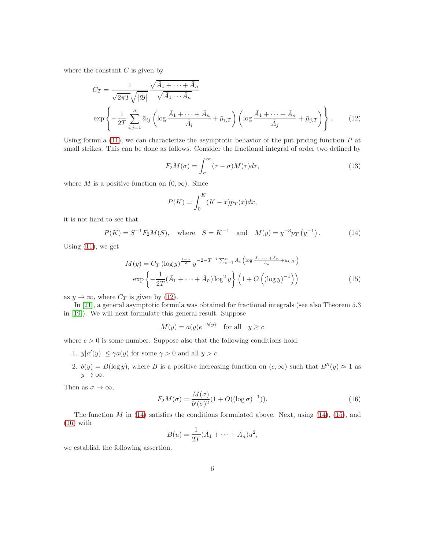where the constant  $C$  is given by

$$
C_T = \frac{1}{\sqrt{2\pi T}\sqrt{|\bar{\mathfrak{B}}|}} \frac{\sqrt{\bar{A}_1 + \dots + \bar{A}_{\bar{n}}}}{\sqrt{\bar{A}_1 \dots \bar{A}_{\bar{n}}}}
$$

$$
\exp\left\{-\frac{1}{2T} \sum_{i,j=1}^{\bar{n}} \bar{a}_{ij} \left(\log \frac{\bar{A}_1 + \dots + \bar{A}_{\bar{n}}}{\bar{A}_i} + \bar{\mu}_{i,T}\right) \left(\log \frac{\bar{A}_1 + \dots + \bar{A}_{\bar{n}}}{\bar{A}_j} + \bar{\mu}_{j,T}\right)\right\}.
$$
(12)

Using formula  $(11)$ , we can characterize the asymptotic behavior of the put pricing function  $P$  at small strikes. This can be done as follows. Consider the fractional integral of order two defined by

<span id="page-5-0"></span>
$$
F_2M(\sigma) = \int_{\sigma}^{\infty} (\tau - \sigma)M(\tau)d\tau,
$$
\n(13)

where M is a positive function on  $(0, \infty)$ . Since

$$
P(K) = \int_0^K (K - x) p_T(x) dx,
$$

it is not hard to see that

<span id="page-5-1"></span>
$$
P(K) = S^{-1}F_2M(S)
$$
, where  $S = K^{-1}$  and  $M(y) = y^{-3}p_T(y^{-1})$ . (14)

Using  $(11)$ , we get

$$
M(y) = C_T \left(\log y\right)^{\frac{1-\bar{n}}{2}} y^{-2-T^{-1} \sum_{k=1}^{\bar{n}} \bar{A}_k \left(\log \frac{\bar{A}_1 + \dots + \bar{A}_n}{\bar{A}_k} + \mu_{k,T}\right)}
$$

$$
\exp\left\{-\frac{1}{2T}(\bar{A}_1 + \dots + \bar{A}_{\bar{n}})\log^2 y\right\} \left(1 + O\left(\left(\log y\right)^{-1}\right)\right) \tag{15}
$$

as  $y \to \infty$ , where  $C_T$  is given by [\(12\)](#page-5-0).

In [\[21\]](#page-22-15), a general asymptotic formula was obtained for fractional integrals (see also Theorem 5.3 in [\[19\]](#page-22-4)). We will next formulate this general result. Suppose

<span id="page-5-2"></span>
$$
M(y) = a(y)e^{-b(y)} \quad \text{for all} \quad y \ge c
$$

where  $c > 0$  is some number. Suppose also that the following conditions hold:

- 1.  $y|a'(y)| \leq \gamma a(y)$  for some  $\gamma > 0$  and all  $y > c$ .
- 2.  $b(y) = B(\log y)$ , where B is a positive increasing function on  $(c, \infty)$  such that  $B''(y) \approx 1$  as  $y \to \infty$ .

Then as  $\sigma \to \infty$ ,

<span id="page-5-3"></span>
$$
F_2M(\sigma) = \frac{M(\sigma)}{b'(\sigma)^2} (1 + O((\log \sigma)^{-1})).
$$
\n(16)

The function M in  $(14)$  satisfies the conditions formulated above. Next, using  $(14)$ ,  $(15)$ , and [\(16\)](#page-5-3) with

$$
B(u) = \frac{1}{2T}(\bar{A}_1 + \dots + \bar{A}_{\bar{n}})u^2,
$$

we establish the following assertion.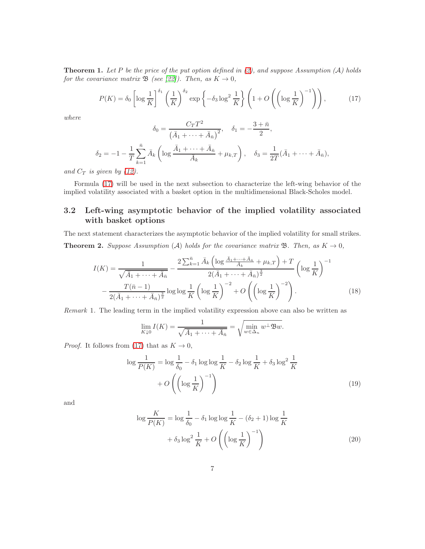<span id="page-6-1"></span>**Theorem 1.** Let P be the price of the put option defined in [\(2\)](#page-2-0), and suppose Assumption (A) holds for the covariance matrix  $\mathfrak{B}$  (see [\[22\]](#page-22-12)). Then, as  $K \to 0$ ,

<span id="page-6-0"></span>
$$
P(K) = \delta_0 \left[ \log \frac{1}{K} \right]^{\delta_1} \left( \frac{1}{K} \right)^{\delta_2} \exp \left\{ -\delta_3 \log^2 \frac{1}{K} \right\} \left( 1 + O\left( \left( \log \frac{1}{K} \right)^{-1} \right) \right),\tag{17}
$$

where

$$
\delta_0 = \frac{C_T T^2}{(\bar{A}_1 + \dots + \bar{A}_{\bar{n}})^2}, \quad \delta_1 = -\frac{3 + \bar{n}}{2},
$$

$$
\delta_2 = -1 - \frac{1}{T} \sum_{k=1}^{\bar{n}} \bar{A}_k \left( \log \frac{\bar{A}_1 + \dots + \bar{A}_{\bar{n}}}{\bar{A}_k} + \mu_{k,T} \right), \quad \delta_3 = \frac{1}{2T} (\bar{A}_1 + \dots + \bar{A}_{\bar{n}}),
$$

and  $C_T$  is given by [\(12\)](#page-5-0).

Formula [\(17\)](#page-6-0) will be used in the next subsection to characterize the left-wing behavior of the implied volatility associated with a basket option in the multidimensional Black-Scholes model.

### 3.2 Left-wing asymptotic behavior of the implied volatility associated with basket options

<span id="page-6-5"></span>The next statement characterizes the asymptotic behavior of the implied volatility for small strikes. **Theorem 2.** Suppose Assumption (A) holds for the covariance matrix  $\mathfrak{B}$ . Then, as  $K \to 0$ ,

$$
I(K) = \frac{1}{\sqrt{\bar{A}_1 + \dots + \bar{A}_{\bar{n}}}} - \frac{2\sum_{k=1}^{\bar{n}} \bar{A}_k \left(\log \frac{\bar{A}_1 + \dots + \bar{A}_{\bar{n}}}{\bar{A}_k} + \mu_{k,T}\right) + T}{2(\bar{A}_1 + \dots + \bar{A}_{\bar{n}})^{\frac{3}{2}}} \left(\log \frac{1}{K}\right)^{-1} - \frac{T(\bar{n} - 1)}{2(\bar{A}_1 + \dots + \bar{A}_{\bar{n}})^{\frac{3}{2}}} \log \log \frac{1}{K} \left(\log \frac{1}{K}\right)^{-2} + O\left(\left(\log \frac{1}{K}\right)^{-2}\right). \tag{18}
$$

Remark 1. The leading term in the implied volatility expression above can also be written as

<span id="page-6-4"></span>
$$
\lim_{K \downarrow 0} I(K) = \frac{1}{\sqrt{\bar{A}_1 + \dots + \bar{A}_{\bar{n}}}} = \sqrt{\min_{w \in \Delta_n} w^{\perp} \mathfrak{B}w}.
$$

*Proof.* It follows from [\(17\)](#page-6-0) that as  $K \to 0$ ,

$$
\log \frac{1}{P(K)} = \log \frac{1}{\delta_0} - \delta_1 \log \log \frac{1}{K} - \delta_2 \log \frac{1}{K} + \delta_3 \log^2 \frac{1}{K}
$$

$$
+ O\left(\left(\log \frac{1}{K}\right)^{-1}\right)
$$
(19)

and

<span id="page-6-3"></span><span id="page-6-2"></span>
$$
\log \frac{K}{P(K)} = \log \frac{1}{\delta_0} - \delta_1 \log \log \frac{1}{K} - (\delta_2 + 1) \log \frac{1}{K}
$$

$$
+ \delta_3 \log^2 \frac{1}{K} + O\left(\left(\log \frac{1}{K}\right)^{-1}\right) \tag{20}
$$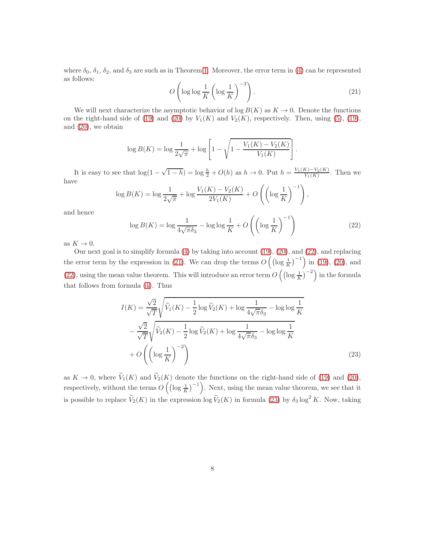where  $\delta_0$ ,  $\delta_1$ ,  $\delta_2$ , and  $\delta_3$  are such as in Theorem [1.](#page-6-1) Moreover, the error term in [\(4\)](#page-3-2) can be represented as follows:

<span id="page-7-1"></span>
$$
O\left(\log\log\frac{1}{K}\left(\log\frac{1}{K}\right)^{-3}\right). \tag{21}
$$

<span id="page-7-2"></span>.

We will next characterize the asymptotic behavior of  $\log B(K)$  as  $K \to 0$ . Denote the functions on the right-hand side of [\(19\)](#page-6-2) and [\(20\)](#page-6-3) by  $V_1(K)$  and  $V_2(K)$ , respectively. Then, using [\(5\)](#page-3-3), (19), and [\(20\)](#page-6-3), we obtain

$$
\log B(K) = \log \frac{1}{2\sqrt{\pi}} + \log \left[ 1 - \sqrt{1 - \frac{V_1(K) - V_2(K)}{V_1(K)}} \right]
$$

It is easy to see that  $\log(1-\sqrt{1-h}) = \log \frac{h}{2} + O(h)$  as  $h \to 0$ . Put  $h = \frac{V_1(K)-V_2(K)}{V_1(K)}$ . Then we have

$$
\log B(K) = \log \frac{1}{2\sqrt{\pi}} + \log \frac{V_1(K) - V_2(K)}{2V_1(K)} + O\left(\left(\log \frac{1}{K}\right)^{-1}\right),\,
$$

and hence

<span id="page-7-0"></span>
$$
\log B(K) = \log \frac{1}{4\sqrt{\pi}\delta_3} - \log \log \frac{1}{K} + O\left(\left(\log \frac{1}{K}\right)^{-1}\right)
$$
\n(22)

as  $K \to 0$ .

Our next goal is to simplify formula [\(4\)](#page-3-2) by taking into account [\(19\)](#page-6-2), [\(20\)](#page-6-3), and [\(22\)](#page-7-0), and replacing the error term by the expression in [\(21\)](#page-7-1). We can drop the terms  $O((\log \frac{1}{K})^{-1})$  in [\(19\)](#page-6-2), [\(20\)](#page-6-3), and [\(22\)](#page-7-0), using the mean value theorem. This will introduce an error term  $O\left(\left(\log \frac{1}{K}\right)^{-2}\right)$  in the formula that follows from formula [\(4\)](#page-3-2). Thus

$$
I(K) = \frac{\sqrt{2}}{\sqrt{T}} \sqrt{\widetilde{V}_1(K) - \frac{1}{2} \log \widetilde{V}_2(K) + \log \frac{1}{4\sqrt{\pi}\delta_3} - \log \log \frac{1}{K}}
$$

$$
- \frac{\sqrt{2}}{\sqrt{T}} \sqrt{\widetilde{V}_2(K) - \frac{1}{2} \log \widetilde{V}_2(K) + \log \frac{1}{4\sqrt{\pi}\delta_3} - \log \log \frac{1}{K}}
$$

$$
+ O\left(\left(\log \frac{1}{K}\right)^{-2}\right)
$$
(23)

as  $K \to 0$ , where  $\widetilde{V}_1(K)$  and  $\widetilde{V}_2(K)$  denote the functions on the right-hand side of [\(19\)](#page-6-2) and [\(20\)](#page-6-3), respectively, without the terms  $O\left(\left(\log \frac{1}{K}\right)^{-1}\right)$ . Next, using the mean value theorem, we see that it is possible to replace  $\widetilde{V}_2(K)$  in the expression log  $\widetilde{V}_2(K)$  in formula [\(23\)](#page-7-2) by  $\delta_3 \log^2 K$ . Now, taking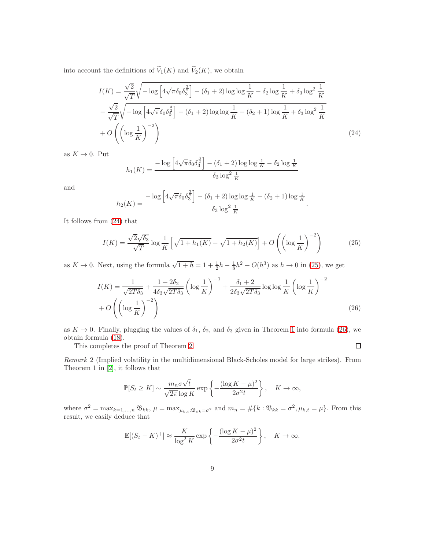into account the definitions of  $\widetilde{V}_1(K)$  and  $\widetilde{V}_2(K)$ , we obtain

$$
I(K) = \frac{\sqrt{2}}{\sqrt{T}} \sqrt{-\log \left[ 4\sqrt{\pi} \delta_0 \delta_3^{\frac{3}{2}} \right] - (\delta_1 + 2) \log \log \frac{1}{K} - \delta_2 \log \frac{1}{K} + \delta_3 \log^2 \frac{1}{K} - \frac{\sqrt{2}}{\sqrt{T}} \sqrt{-\log \left[ 4\sqrt{\pi} \delta_0 \delta_3^{\frac{3}{2}} \right] - (\delta_1 + 2) \log \log \frac{1}{K} - (\delta_2 + 1) \log \frac{1}{K} + \delta_3 \log^2 \frac{1}{K} + O\left( \left( \log \frac{1}{K} \right)^{-2} \right)
$$
\n
$$
(24)
$$

as  $K \to 0$ . Put

$$
h_1(K) = \frac{-\log\left[4\sqrt{\pi}\delta_0 \delta_3^{\frac{3}{2}}\right] - (\delta_1 + 2)\log\log\frac{1}{K} - \delta_2 \log\frac{1}{K}}{\delta_3 \log^2\frac{1}{K}}
$$

and

$$
h_2(K) = \frac{-\log\left[4\sqrt{\pi}\delta_0\delta_3^{\frac{3}{2}}\right] - (\delta_1 + 2)\log\log\frac{1}{K} - (\delta_2 + 1)\log\frac{1}{K}}{\delta_3\log^2\frac{1}{K}}
$$

It follows from [\(24\)](#page-8-0) that

$$
I(K) = \frac{\sqrt{2}\sqrt{\delta_3}}{\sqrt{T}} \log \frac{1}{K} \left[ \sqrt{1 + h_1(K)} - \sqrt{1 + h_2(K)} \right] + O\left( \left( \log \frac{1}{K} \right)^{-2} \right)
$$
(25)

<span id="page-8-1"></span><span id="page-8-0"></span>.

<span id="page-8-2"></span> $\Box$ 

as  $K \to 0$ . Next, using the formula  $\sqrt{1+h} = 1 + \frac{1}{2}h - \frac{1}{8}h^2 + O(h^3)$  as  $h \to 0$  in [\(25\)](#page-8-1), we get

$$
I(K) = \frac{1}{\sqrt{2T\delta_3}} + \frac{1+2\delta_2}{4\delta_3\sqrt{2T\delta_3}} \left( \log \frac{1}{K} \right)^{-1} + \frac{\delta_1+2}{2\delta_3\sqrt{2T\delta_3}} \log \log \frac{1}{K} \left( \log \frac{1}{K} \right)^{-2} + O\left( \left( \log \frac{1}{K} \right)^{-2} \right)
$$
(26)

as  $K \to 0$ . Finally, plugging the values of  $\delta_1$ ,  $\delta_2$ , and  $\delta_3$  given in Theorem [1](#page-6-1) into formula [\(26\)](#page-8-2), we obtain formula [\(18\)](#page-6-4).

This completes the proof of Theorem [2.](#page-6-5)

Remark 2 (Implied volatility in the multidimensional Black-Scholes model for large strikes). From Theorem 1 in [\[2\]](#page-21-3), it follows that

$$
\mathbb{P}[S_t \ge K] \sim \frac{m_n \sigma \sqrt{t}}{\sqrt{2\pi} \log K} \exp\left\{-\frac{(\log K - \mu)^2}{2\sigma^2 t}\right\}, \quad K \to \infty,
$$

where  $\sigma^2 = \max_{k=1,...,n} \mathfrak{B}_{kk}$ ,  $\mu = \max_{\mu_{k,t}: \mathfrak{B}_{kk}=\sigma^2}$  and  $m_n = \#\{k: \mathfrak{B}_{kk}=\sigma^2, \mu_{k,t}=\mu\}$ . From this result, we easily deduce that

$$
\mathbb{E}[(S_t - K)^+] \approx \frac{K}{\log^2 K} \exp\left\{-\frac{(\log K - \mu)^2}{2\sigma^2 t}\right\}, \quad K \to \infty.
$$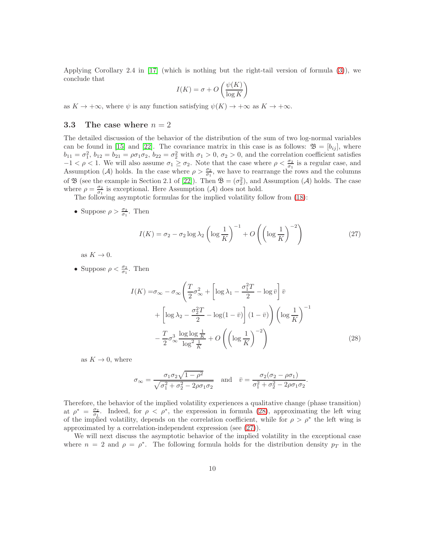Applying Corollary 2.4 in [\[17\]](#page-22-2) (which is nothing but the right-tail version of formula [\(3\)](#page-3-1)), we conclude that

$$
I(K) = \sigma + O\left(\frac{\psi(K)}{\log K}\right)
$$

as  $K \to +\infty$ , where  $\psi$  is any function satisfying  $\psi(K) \to +\infty$  as  $K \to +\infty$ .

#### 3.3 The case where  $n = 2$

The detailed discussion of the behavior of the distribution of the sum of two log-normal variables can be found in [\[15\]](#page-22-16) and [\[22\]](#page-22-12). The covariance matrix in this case is as follows:  $\mathfrak{B} = [b_{ij}]$ , where  $b_{11} = \sigma_1^2$ ,  $b_{12} = b_{21} = \rho \sigma_1 \sigma_2$ ,  $b_{22} = \sigma_2^2$  with  $\sigma_1 > 0$ ,  $\sigma_2 > 0$ , and the correlation coefficient satisfies  $-1 < \rho < 1$ . We will also assume  $\sigma_1 \ge \sigma_2$ . Note that the case where  $\rho < \frac{\sigma_2}{\sigma_1}$  is a regular case, and Assumption (A) holds. In the case where  $\rho > \frac{\sigma_2}{\sigma_1}$ , we have to rearrange the rows and the columns of  $\mathfrak B$  (see the example in Section 2.1 of [\[22\]](#page-22-12)). Then  $\bar{\mathfrak B}=(\sigma_2^2)$ , and Assumption (A) holds. The case where  $\rho = \frac{\sigma_2}{\sigma_1}$  is exceptional. Here Assumption (A) does not hold.

The following asymptotic formulas for the implied volatility follow from [\(18\)](#page-6-4):

• Suppose  $\rho > \frac{\sigma_2}{\sigma_1}$ . Then

<span id="page-9-1"></span>
$$
I(K) = \sigma_2 - \sigma_2 \log \lambda_2 \left( \log \frac{1}{K} \right)^{-1} + O\left( \left( \log \frac{1}{K} \right)^{-2} \right)
$$
 (27)

as  $K \to 0$ .

• Suppose  $\rho < \frac{\sigma_2}{\sigma_1}$ . Then

$$
I(K) = \sigma_{\infty} - \sigma_{\infty} \left( \frac{T}{2} \sigma_{\infty}^{2} + \left[ \log \lambda_{1} - \frac{\sigma_{1}^{2} T}{2} - \log \bar{v} \right] \bar{v} + \left[ \log \lambda_{2} - \frac{\sigma_{2}^{2} T}{2} - \log(1 - \bar{v}) \right] \left( 1 - \bar{v} \right) \right) \left( \log \frac{1}{K} \right)^{-1}
$$

$$
- \frac{T}{2} \sigma_{\infty}^{3} \frac{\log \log \frac{1}{K}}{\log^{2} \frac{1}{K}} + O\left( \left( \log \frac{1}{K} \right)^{-2} \right) \tag{28}
$$

as  $K \to 0$ , where

<span id="page-9-0"></span>
$$
\sigma_{\infty} = \frac{\sigma_1 \sigma_2 \sqrt{1 - \rho^2}}{\sqrt{\sigma_1^2 + \sigma_2^2 - 2\rho \sigma_1 \sigma_2}} \quad \text{and} \quad \bar{v} = \frac{\sigma_2 (\sigma_2 - \rho \sigma_1)}{\sigma_1^2 + \sigma_2^2 - 2\rho \sigma_1 \sigma_2}.
$$

Therefore, the behavior of the implied volatility experiences a qualitative change (phase transition) at  $\rho^* = \frac{\sigma_2}{\sigma_1}$ . Indeed, for  $\rho < \rho^*$ , the expression in formula [\(28\)](#page-9-0), approximating the left wing of the implied volatility, depends on the correlation coefficient, while for  $\rho > \rho^*$  the left wing is approximated by a correlation-independent expression (see [\(27\)](#page-9-1)).

We will next discuss the asymptotic behavior of the implied volatility in the exceptional case where  $n = 2$  and  $\rho = \rho^*$ . The following formula holds for the distribution density  $p_T$  in the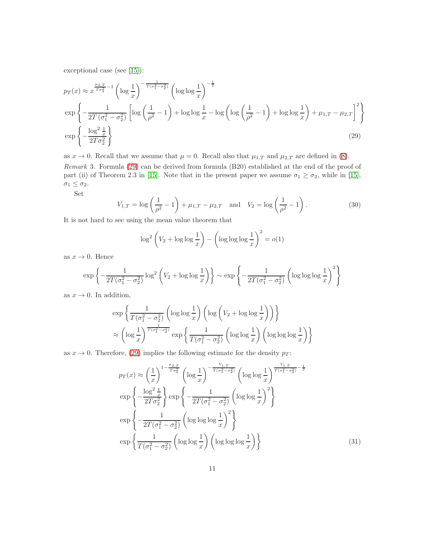exceptional case (see [\[15\]](#page-22-16)):

$$
p_T(x) \approx x^{\frac{\mu_{2,T}}{T\sigma_2^2} - 1} \left( \log \frac{1}{x} \right)^{-\frac{1}{T(\sigma_1^2 - \sigma_2^2)}} \left( \log \log \frac{1}{x} \right)^{-\frac{1}{2}}
$$
  
\n
$$
\exp \left\{ -\frac{1}{2T(\sigma_1^2 - \sigma_2^2)} \left[ \log \left( \frac{1}{\rho^2} - 1 \right) + \log \log \frac{1}{x} - \log \left( \log \left( \frac{1}{\rho^2} - 1 \right) + \log \log \frac{1}{x} \right) + \mu_{1,T} - \mu_{2,T} \right]^2 \right\}
$$
  
\n
$$
\exp \left\{ -\frac{\log^2 \frac{1}{x}}{2T\sigma_2^2} \right\}
$$
\n(29)

as  $x \to 0$ . Recall that we assume that  $\mu = 0$ . Recall also that  $\mu_{1,T}$  and  $\mu_{2,T}$  are defined in [\(8\)](#page-4-2). Remark 3. Formula [\(29\)](#page-10-0) can be derived from formula (B20) established at the end of the proof of part (ii) of Theorem 2.3 in [\[15\]](#page-22-16). Note that in the present paper we assume  $\sigma_1 \ge \sigma_2$ , while in [15],  $\sigma_1 \leq \sigma_2$ .

Set

$$
V_{1,T} = \log\left(\frac{1}{\rho^2} - 1\right) + \mu_{1,T} - \mu_{2,T} \quad \text{and} \quad V_2 = \log\left(\frac{1}{\rho^2} - 1\right). \tag{30}
$$

It is not hard to see using the mean value theorem that

<span id="page-10-0"></span>
$$
\log^2\left(V_2 + \log\log\frac{1}{x}\right) - \left(\log\log\log\frac{1}{x}\right)^2 = o(1)
$$

as  $x \to 0$ . Hence

$$
\exp\left\{-\frac{1}{2T(\sigma_1^2-\sigma_2^2)}\log^2\left(V_2+\log\log\frac{1}{x}\right)\right\} \sim \exp\left\{-\frac{1}{2T(\sigma_1^2-\sigma_2^2)}\left(\log\log\log\frac{1}{x}\right)^2\right\}
$$

as  $x \to 0$ . In addition,

$$
\exp\left\{\frac{1}{T(\sigma_1^2 - \sigma_2^2)} \left( \log \log \frac{1}{x} \right) \left( \log \left( V_2 + \log \log \frac{1}{x} \right) \right) \right\}
$$
  

$$
\approx \left( \log \frac{1}{x} \right)^{\frac{1}{T(\sigma_1^2 - \sigma_2^2)}} \exp\left\{\frac{1}{T(\sigma_1^2 - \sigma_2^2)} \left( \log \log \frac{1}{x} \right) \left( \log \log \log \frac{1}{x} \right) \right\}
$$

as  $x \to 0$ . Therefore, [\(29\)](#page-10-0) implies the following estimate for the density  $p_T$ :

<span id="page-10-1"></span>
$$
p_T(x) \approx \left(\frac{1}{x}\right)^{1-\frac{\mu_{2,T}}{T\sigma_2^2}} \left(\log\frac{1}{x}\right)^{-\frac{V_{1,T}}{T(\sigma_1^2-\sigma_2^2)}} \left(\log\log\frac{1}{x}\right)^{\frac{V_{1,T}}{T(\sigma_1^2-\sigma_2^2)}-\frac{1}{2}}
$$

$$
\exp\left\{-\frac{\log^2\frac{1}{x}}{2T\sigma_2^2}\right\} \exp\left\{-\frac{1}{2T(\sigma_1^2-\sigma_2^2)} \left(\log\log\frac{1}{x}\right)^2\right\}
$$

$$
\exp\left\{-\frac{1}{2T(\sigma_1^2-\sigma_2^2)} \left(\log\log\log\frac{1}{x}\right)^2\right\}
$$

$$
\exp\left\{\frac{1}{T(\sigma_1^2-\sigma_2^2)} \left(\log\log\frac{1}{x}\right) \left(\log\log\log\frac{1}{x}\right)\right\} \tag{31}
$$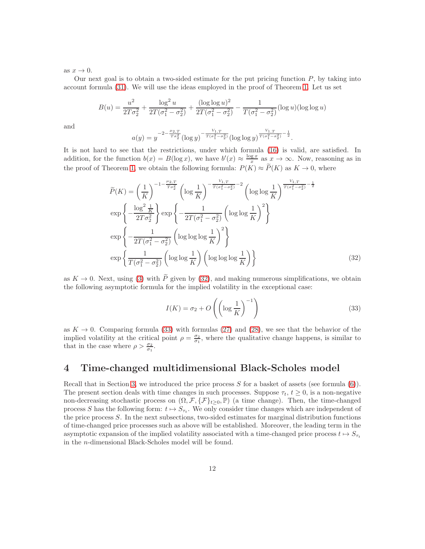as  $x \to 0$ .

Our next goal is to obtain a two-sided estimate for the put pricing function  $P$ , by taking into account formula [\(31\)](#page-10-1). We will use the ideas employed in the proof of Theorem [1.](#page-6-1) Let us set

$$
B(u) = \frac{u^2}{2T\sigma_2^2} + \frac{\log^2 u}{2T(\sigma_1^2 - \sigma_2^2)} + \frac{(\log \log u)^2}{2T(\sigma_1^2 - \sigma_2^2)} - \frac{1}{T(\sigma_1^2 - \sigma_2^2)} (\log u)(\log \log u)
$$

and

$$
a(y) = y^{-2 - \frac{\mu_{2,T}}{T\sigma_2^2}} (\log y)^{-\frac{V_{1,T}}{T(\sigma_1^2 - \sigma_2^2)}} (\log \log y)^{\frac{V_{1,T}}{T(\sigma_1^2 - \sigma_2^2)} - \frac{1}{2}}.
$$

It is not hard to see that the restrictions, under which formula [\(16\)](#page-5-3) is valid, are satisfied. In addition, for the function  $b(x) = B(\log x)$ , we have  $b'(x) \approx \frac{\log x}{x}$  as  $x \to \infty$ . Now, reasoning as in the proof of Theorem [1,](#page-6-1) we obtain the following formula:  $P(K) \approx \widetilde{P}(K)$  as  $K \to 0$ , where

$$
\widetilde{P}(K) = \left(\frac{1}{K}\right)^{-1-\frac{\mu_{2,T}}{T\sigma_{2}^{2}}} \left(\log\frac{1}{K}\right)^{-\frac{V_{1,T}}{T(\sigma_{1}^{2}-\sigma_{2}^{2})}-2} \left(\log\log\frac{1}{K}\right)^{\frac{V_{1,T}}{T(\sigma_{1}^{2}-\sigma_{2}^{2})}-\frac{1}{2}}
$$
\n
$$
\exp\left\{-\frac{\log^{2}\frac{1}{K}}{2T\sigma_{2}^{2}}\right\} \exp\left\{-\frac{1}{2T(\sigma_{1}^{2}-\sigma_{2}^{2})} \left(\log\log\frac{1}{K}\right)^{2}\right\}
$$
\n
$$
\exp\left\{-\frac{1}{2T(\sigma_{1}^{2}-\sigma_{2}^{2})} \left(\log\log\log\frac{1}{K}\right)^{2}\right\}
$$
\n
$$
\exp\left\{\frac{1}{T(\sigma_{1}^{2}-\sigma_{2}^{2})} \left(\log\log\frac{1}{K}\right) \left(\log\log\log\frac{1}{K}\right)\right\}
$$
\n(32)

as  $K \to 0$ . Next, using [\(3\)](#page-3-1) with  $\widetilde{P}$  given by [\(32\)](#page-11-1), and making numerous simplifications, we obtain the following asymptotic formula for the implied volatility in the exceptional case:

<span id="page-11-2"></span><span id="page-11-1"></span>
$$
I(K) = \sigma_2 + O\left(\left(\log \frac{1}{K}\right)^{-1}\right)
$$
\n(33)

as  $K \to 0$ . Comparing formula [\(33\)](#page-11-2) with formulas [\(27\)](#page-9-1) and [\(28\)](#page-9-0), we see that the behavior of the implied volatility at the critical point  $\rho = \frac{\sigma_2}{\sigma_1}$ , where the qualitative change happens, is similar to that in the case where  $\rho > \frac{\sigma_2}{\sigma_1}$ .

### <span id="page-11-0"></span>4 Time-changed multidimensional Black-Scholes model

Recall that in Section [3,](#page-3-0) we introduced the price process  $S$  for a basket of assets (see formula [\(6\)](#page-4-3)). The present section deals with time changes in such processes. Suppose  $\tau_t$ ,  $t \geq 0$ , is a non-negative non-decreasing stochastic process on  $(\Omega, \mathcal{F}, \{\mathcal{F}\}_{t\geq 0}, \mathbb{P})$  (a time change). Then, the time-changed process S has the following form:  $t \mapsto S_{\tau_t}$ . We only consider time changes which are independent of the price process S. In the next subsections, two-sided estimates for marginal distribution functions of time-changed price processes such as above will be established. Moreover, the leading term in the asymptotic expansion of the implied volatility associated with a time-changed price process  $t \mapsto S_{\tau_t}$ in the n-dimensional Black-Scholes model will be found.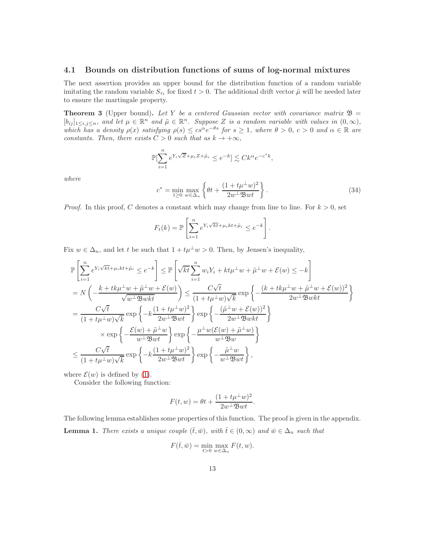#### 4.1 Bounds on distribution functions of sums of log-normal mixtures

The next assertion provides an upper bound for the distribution function of a random variable imitating the random variable  $S_{\tau_t}$  for fixed  $t > 0$ . The additional drift vector  $\tilde{\mu}$  will be needed later to ensure the martingale property.

<span id="page-12-0"></span>**Theorem 3** (Upper bound). Let Y be a centered Gaussian vector with covariance matrix  $\mathfrak{B} =$  $[b_{ij}]_{1\leq i,j\leq n}$ , and let  $\mu \in \mathbb{R}^n$  and  $\tilde{\mu} \in \mathbb{R}^n$ . Suppose Z is a random variable with values in  $(0,\infty)$ , which has a density  $\rho(x)$  satisfying  $\rho(s) \leq c s^{\alpha} e^{-\theta s}$  for  $s \geq 1$ , where  $\theta > 0$ ,  $c > 0$  and  $\alpha \in \mathbb{R}$  are constants. Then, there exists  $C > 0$  such that as  $k \to +\infty$ ,

$$
\mathbb{P}[\sum_{i=1}^{n} e^{Y_i \sqrt{Z} + \mu_i Z + \tilde{\mu}_i} \le e^{-k}] \lesssim C k^{\alpha} e^{-c^*k},
$$

where

<span id="page-12-1"></span>
$$
c^* = \min_{t \ge 0} \max_{w \in \Delta_n} \left\{ \theta t + \frac{(1 + t\mu^{\perp} w)^2}{2w^{\perp} \mathfrak{B} wt} \right\}.
$$
 (34)

*Proof.* In this proof, C denotes a constant which may change from line to line. For  $k > 0$ , set

$$
F_t(k) = \mathbb{P}\left[\sum_{i=1}^n e^{Y_i\sqrt{kt} + \mu_i kt + \tilde{\mu}_i} \le e^{-k}\right].
$$

Fix  $w \in \Delta_n$ , and let t be such that  $1 + t\mu^{\perp}w > 0$ . Then, by Jensen's inequality,

$$
\mathbb{P}\left[\sum_{i=1}^{n} e^{Y_i\sqrt{kt} + \mu_i kt + \tilde{\mu}_i} \leq e^{-k}\right] \leq \mathbb{P}\left[\sqrt{kt} \sum_{i=1}^{n} w_i Y_i + kt\mu^{\perp} w + \tilde{\mu}^{\perp} w + \mathcal{E}(w) \leq -k\right]
$$
\n
$$
= N\left(-\frac{k + tk\mu^{\perp} w + \tilde{\mu}^{\perp} w + \mathcal{E}(w)}{\sqrt{w^{\perp}\mathfrak{B}wkt}}\right) \leq \frac{C\sqrt{t}}{(1 + t\mu^{\perp} w)\sqrt{k}} \exp\left\{-\frac{(k + tk\mu^{\perp} w + \tilde{\mu}^{\perp} w + \mathcal{E}(w))^2}{2w^{\perp}\mathfrak{B}wkt}\right\}
$$
\n
$$
= \frac{C\sqrt{t}}{(1 + t\mu^{\perp} w)\sqrt{k}} \exp\left\{-k\frac{(1 + t\mu^{\perp} w)^2}{2w^{\perp}\mathfrak{B}wt}\right\} \exp\left\{-\frac{(\tilde{\mu}^{\perp} w + \mathcal{E}(w))^2}{2w^{\perp}\mathfrak{B}wkt}\right\}
$$
\n
$$
\times \exp\left\{-\frac{\mathcal{E}(w) + \tilde{\mu}^{\perp} w}{w^{\perp}\mathfrak{B}wt}\right\} \exp\left\{-\frac{\mu^{\perp} w(\mathcal{E}(w) + \tilde{\mu}^{\perp} w)}{w^{\perp}\mathfrak{B}w}\right\}
$$
\n
$$
\leq \frac{C\sqrt{t}}{(1 + t\mu^{\perp} w)\sqrt{k}} \exp\left\{-k\frac{(1 + t\mu^{\perp} w)^2}{2w^{\perp}\mathfrak{B}wt}\right\} \exp\left\{-\frac{\tilde{\mu}^{\perp} w}{w^{\perp}\mathfrak{B}wt}\right\},
$$

where  $\mathcal{E}(w)$  is defined by [\(1\)](#page-2-1).

Consider the following function:

$$
F(t, w) = \theta t + \frac{(1 + t\mu^{\perp}w)^2}{2w^{\perp}\mathfrak{B}wt}.
$$

<span id="page-12-2"></span>The following lemma establishes some properties of this function. The proof is given in the appendix. **Lemma 1.** There exists a unique couple  $(\bar{t}, \bar{w})$ , with  $\bar{t} \in (0, \infty)$  and  $\bar{w} \in \Delta_n$  such that

$$
F(\bar{t},\bar{w}) = \min_{t>0} \max_{w \in \Delta_n} F(t,w).
$$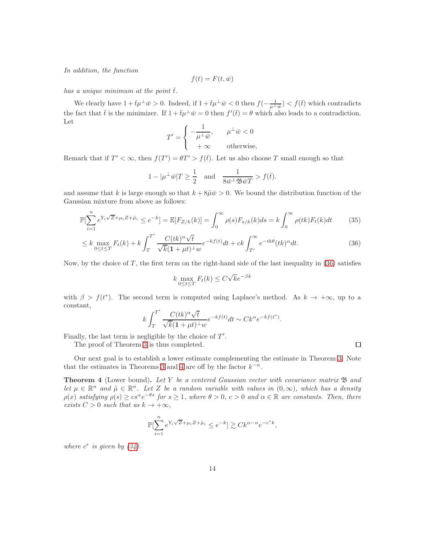In addition, the function

$$
f(t) = F(t, \bar{w})
$$

has a unique minimum at the point  $\overline{t}$ .

We clearly have  $1 + \bar{t}\mu^{\perp}\bar{w} > 0$ . Indeed, if  $1 + \bar{t}\mu^{\perp}\bar{w} < 0$  then  $f(-\frac{1}{\mu^{\perp}\bar{w}}) < f(\bar{t})$  which contradicts the fact that  $\bar{t}$  is the minimizer. If  $1 + \bar{t}\mu^{\perp}\bar{w} = 0$  then  $f'(\bar{t}) = \theta$  which also leads to a contradiction. Let

$$
T' = \begin{cases} -\frac{1}{\mu^{\perp}\bar{w}}, & \mu^{\perp}\bar{w} < 0 \\ +\infty & \text{otherwise,} \end{cases}
$$

Remark that if  $T' < \infty$ , then  $f(T') = \theta T' > f(\bar{t})$ . Let us also choose T small enough so that

$$
1 - |\mu^{\perp}\bar{w}|T \ge \frac{1}{2}
$$
 and  $\frac{1}{8\bar{w}^{\perp}\mathfrak{B}\bar{w}T} > f(\bar{t}).$ 

and assume that k is large enough so that  $k + 8\tilde{\mu}\bar{w} > 0$ . We bound the distribution function of the Gaussian mixture from above as follows:

$$
\mathbb{P}[\sum_{i=1}^{n} e^{Y_i \sqrt{Z} + \mu_i Z + \tilde{\mu}_i} \le e^{-k}] = \mathbb{E}[F_{Z/k}(k)] = \int_0^\infty \rho(s) F_{s/k}(k) ds = k \int_0^\infty \rho(tk) F_t(k) dt \tag{35}
$$

$$
\leq k \max_{0 \leq t \leq T} F_t(k) + k \int_T^{T'} \frac{C(tk)^{\alpha} \sqrt{t}}{\sqrt{k}(1 + \mu t)^{\perp} w} e^{-kf(t)} dt + ck \int_{T'}^{\infty} e^{-tk\theta} (tk)^{\alpha} dt.
$$
\n(36)

Now, by the choice of  $T$ , the first term on the right-hand side of the last inequality in [\(36\)](#page-13-0) satisfies

$$
k \max_{0 \le t \le T} F_t(k) \le C\sqrt{k}e^{-\beta k}
$$

with  $\beta > f(t^*)$ . The second term is computed using Laplace's method. As  $k \to +\infty$ , up to a constant,

$$
k \int_{T}^{T'} \frac{C(tk)^{\alpha} \sqrt{t}}{\sqrt{k}(1+\mu t)^{\perp} w} e^{-kf(t)} dt \sim C k^{\alpha} e^{-kf(t^*)}.
$$

Finally, the last term is negligible by the choice of  $T'$ .

The proof of Theorem [3](#page-12-0) is thus completed.

Our next goal is to establish a lower estimate complementing the estimate in Theorem [3.](#page-12-0) Note that the estimates in Theorems [3](#page-12-0) and [4](#page-13-1) are off by the factor  $k^{-n}$ .

<span id="page-13-1"></span>**Theorem 4** (Lower bound). Let Y be a centered Gaussian vector with covariance matrix  $\mathfrak{B}$  and let  $\mu \in \mathbb{R}^n$  and  $\tilde{\mu} \in \mathbb{R}^n$ . Let Z be a random variable with values in  $(0, \infty)$ , which has a density  $\rho(x)$  satisfying  $\rho(s) \geq c s^{\alpha} e^{-\theta s}$  for  $s \geq 1$ , where  $\theta > 0$ ,  $c > 0$  and  $\alpha \in \mathbb{R}$  are constants. Then, there exists  $C > 0$  such that as  $k \to +\infty$ ,

$$
\mathbb{P}[\sum_{i=1}^n e^{Y_i \sqrt{Z} + \mu_i Z + \tilde \mu_i} \le e^{-k}] \gtrsim C k^{\alpha - n} e^{-c^* k},
$$

where  $c^*$  is given by  $(34)$ .

<span id="page-13-0"></span> $\Box$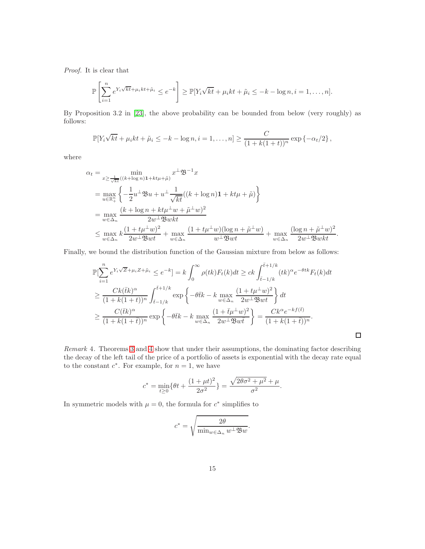Proof. It is clear that

$$
\mathbb{P}\left[\sum_{i=1}^n e^{Y_i\sqrt{kt} + \mu_i kt + \tilde{\mu}_i} \le e^{-k}\right] \ge \mathbb{P}[Y_i\sqrt{kt} + \mu_i kt + \tilde{\mu}_i \le -k - \log n, i = 1, \dots, n].
$$

By Proposition 3.2 in [\[23\]](#page-23-8), the above probability can be bounded from below (very roughly) as follows:

$$
\mathbb{P}[Y_i\sqrt{kt} + \mu_i kt + \tilde{\mu}_i \le -k - \log n, i = 1, ..., n] \ge \frac{C}{(1 + k(1 + t))^n} \exp \{-\alpha_t/2\},\
$$

where

$$
\alpha_t = \min_{x \ge \frac{1}{\sqrt{kt}}((k + \log n)1 + kt\mu + \tilde{\mu})} x^{\perp} \mathfrak{B}^{-1} x
$$
\n
$$
= \max_{u \in \mathbb{R}_+^n} \left\{ -\frac{1}{2} u^{\perp} \mathfrak{B} u + u^{\perp} \frac{1}{\sqrt{kt}} ((k + \log n)1 + kt\mu + \tilde{\mu}) \right\}
$$
\n
$$
= \max_{w \in \Delta_n} \frac{(k + \log n + kt\mu^{\perp}w + \tilde{\mu}^{\perp}w)^2}{2w^{\perp} \mathfrak{B} wkt}
$$
\n
$$
\le \max_{w \in \Delta_n} k \frac{(1 + t\mu^{\perp}w)^2}{2w^{\perp} \mathfrak{B} wt} + \max_{w \in \Delta_n} \frac{(1 + t\mu^{\perp}w)(\log n + \tilde{\mu}^{\perp}w)}{w^{\perp} \mathfrak{B} wt} + \max_{w \in \Delta_n} \frac{(\log n + \tilde{\mu}^{\perp}w)^2}{2w^{\perp} \mathfrak{B} wt}.
$$

Finally, we bound the distribution function of the Gaussian mixture from below as follows:

$$
\mathbb{P}\left[\sum_{i=1}^{n} e^{Y_i\sqrt{Z}+\mu_i Z+\tilde{\mu}_i} \leq e^{-k}\right] = k \int_0^{\infty} \rho(tk) F_t(k) dt \geq ck \int_{\bar{t}-1/k}^{\bar{t}+1/k} (tk)^{\alpha} e^{-\theta tk} F_t(k) dt
$$
  

$$
\geq \frac{Ck(\bar{t}k)^{\alpha}}{(1+k(1+t))^n} \int_{\bar{t}-1/k}^{\bar{t}+1/k} \exp\left\{-\theta \bar{t}k - k \max_{w \in \Delta_n} \frac{(1+t\mu^{\perp}w)^2}{2w^{\perp}\mathfrak{B}wt}\right\} dt
$$
  

$$
\geq \frac{C(\bar{t}k)^{\alpha}}{(1+k(1+\bar{t}))^n} \exp\left\{-\theta \bar{t}k - k \max_{w \in \Delta_n} \frac{(1+\bar{t}\mu^{\perp}w)^2}{2w^{\perp}\mathfrak{B}w\bar{t}}\right\} = \frac{Ck^{\alpha}e^{-kf(\bar{t})}}{(1+k(1+\bar{t}))^n}.
$$

Remark 4. Theorems [3](#page-12-0) and [4](#page-13-1) show that under their assumptions, the dominating factor describing the decay of the left tail of the price of a portfolio of assets is exponential with the decay rate equal to the constant  $c^*$ . For example, for  $n = 1$ , we have

 $\Box$ 

$$
c^* = \min_{t \ge 0} \{ \theta t + \frac{(1 + \mu t)^2}{2\sigma^2} \} = \frac{\sqrt{2\theta \sigma^2 + \mu^2} + \mu}{\sigma^2}.
$$

In symmetric models with  $\mu = 0$ , the formula for  $c^*$  simplifies to

$$
c^* = \sqrt{\frac{2\theta}{\min_{w \in \Delta_n} w^\perp \mathfrak{B} w}}.
$$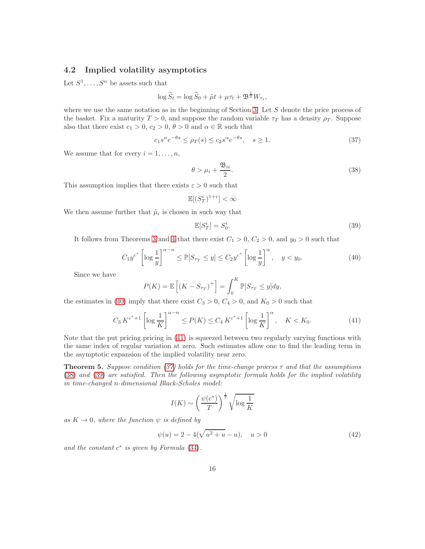### 4.2 Implied volatility asymptotics

Let  $S^1, \ldots, S^n$  be assets such that

$$
\log \widetilde{S}_t = \log \widetilde{S}_0 + \widetilde{\mu}t + \mu \tau_t + \mathfrak{B}^{\frac{1}{2}} W_{\tau_t},
$$

where we use the same notation as in the beginning of Section [3.](#page-3-0) Let  $S$  denote the price process of the basket. Fix a maturity  $T > 0$ , and suppose the random variable  $\tau_T$  has a density  $\rho_T$ . Suppose also that there exist  $c_1 > 0$ ,  $c_2 > 0$ ,  $\theta > 0$  and  $\alpha \in \mathbb{R}$  such that

<span id="page-15-2"></span>
$$
c_1 s^{\alpha} e^{-\theta s} \le \rho_T(s) \le c_2 s^{\alpha} e^{-\theta s}, \quad s \ge 1.
$$
\n
$$
(37)
$$

We assume that for every  $i = 1, \ldots, n$ ,

<span id="page-15-3"></span>
$$
\theta > \mu_i + \frac{\mathfrak{B}_{ii}}{2}.\tag{38}
$$

This assumption implies that there exists  $\varepsilon > 0$  such that

$$
\mathbb{E}[(S_T^i)^{1+\varepsilon}] < \infty
$$

We then assume further that  $\tilde{\mu}_i$  is chosen in such way that

<span id="page-15-4"></span>
$$
\mathbb{E}[S_T^i] = S_0^i. \tag{39}
$$

It follows from Theorems [3](#page-12-0) and [4](#page-13-1) that there exist  $C_1 > 0$ ,  $C_2 > 0$ , and  $y_0 > 0$  such that

<span id="page-15-0"></span>
$$
C_1 y^{c^*} \left[ \log \frac{1}{y} \right]^{\alpha - n} \le \mathbb{P}[S_{\tau_T} \le y] \le C_2 y^{c^*} \left[ \log \frac{1}{y} \right]^{\alpha}, \quad y < y_0. \tag{40}
$$

Since we have

$$
P(K) = \mathbb{E}\left[\left(K - S_{\tau_T}\right)^+\right] = \int_0^K \mathbb{P}[S_{\tau_T} \le y] dy,
$$

the estimates in [\(40\)](#page-15-0) imply that there exist  $C_3 > 0$ ,  $C_4 > 0$ , and  $K_0 > 0$  such that

<span id="page-15-1"></span>
$$
C_3 K^{c^*+1} \left[ \log \frac{1}{K} \right]^{\alpha - n} \le P(K) \le C_4 K^{c^*+1} \left[ \log \frac{1}{K} \right]^{\alpha}, \quad K < K_0. \tag{41}
$$

Note that the put pricing pricing in  $(41)$  is squeezed between two regularly varying functions with the same index of regular variation at zero. Such estimates allow one to find the leading term in the asymptotic expansion of the implied volatility near zero.

<span id="page-15-5"></span>**Theorem 5.** Suppose condition [\(37\)](#page-15-2) holds for the time-change process  $\tau$  and that the assumptions [\(38\)](#page-15-3) and [\(39\)](#page-15-4) are satisfied. Then the following asymptotic formula holds for the implied volatility in time-changed n-dimensional Black-Scholes model:

$$
I(K) \sim \left(\frac{\psi(c^*)}{T}\right)^{\frac{1}{2}} \sqrt{\log \frac{1}{K}}
$$

as  $K \to 0$ , where the function  $\psi$  is defined by

<span id="page-15-6"></span>
$$
\psi(u) = 2 - 4(\sqrt{u^2 + u} - u), \quad u > 0 \tag{42}
$$

and the constant  $c^*$  is given by Formula  $(34)$ .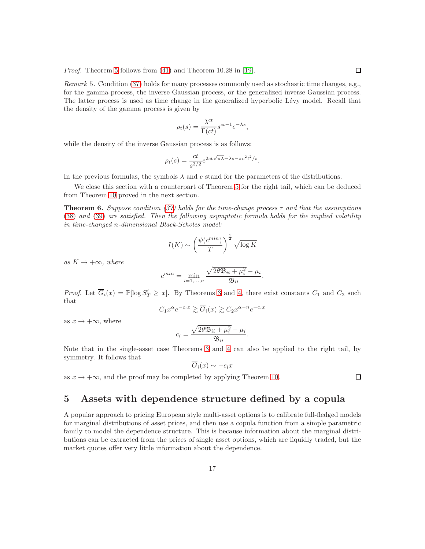Proof. Theorem [5](#page-15-5) follows from [\(41\)](#page-15-1) and Theorem 10.28 in [\[19\]](#page-22-4).

Remark 5. Condition [\(37\)](#page-15-2) holds for many processes commonly used as stochastic time changes, e.g., for the gamma process, the inverse Gaussian process, or the generalized inverse Gaussian process. The latter process is used as time change in the generalized hyperbolic Lévy model. Recall that the density of the gamma process is given by

$$
\rho_t(s) = \frac{\lambda^{ct}}{\Gamma(ct)} s^{ct-1} e^{-\lambda s},
$$

while the density of the inverse Gaussian process is as follows:

$$
\rho_t(s) = \frac{ct}{s^{3/2}} e^{2ct\sqrt{\pi\lambda} - \lambda s - \pi c^2 t^2/s}.
$$

In the previous formulas, the symbols  $\lambda$  and c stand for the parameters of the distributions.

We close this section with a counterpart of Theorem [5](#page-15-5) for the right tail, which can be deduced from Theorem [10](#page-21-4) proved in the next section.

**Theorem 6.** Suppose condition [\(37\)](#page-15-2) holds for the time-change process  $\tau$  and that the assumptions [\(38\)](#page-15-3) and [\(39\)](#page-15-4) are satisfied. Then the following asymptotic formula holds for the implied volatility in time-changed n-dimensional Black-Scholes model:

$$
I(K) \sim \left(\frac{\psi(c^{min})}{T}\right)^{\frac{1}{2}} \sqrt{\log K}
$$

as  $K \to +\infty$ , where

$$
c^{min} = \min_{i=1,\dots,n} \frac{\sqrt{2\theta \mathfrak{B}_{ii} + \mu_i^2} - \mu_i}{\mathfrak{B}_{ii}}.
$$

*Proof.* Let  $\overline{G}_i(x) = \mathbb{P}[\log S_T^i \ge x]$ . By Theorems [3](#page-12-0) and [4,](#page-13-1) there exist constants  $C_1$  and  $C_2$  such that

$$
C_1 x^{\alpha} e^{-c_i x} \gtrsim \overline{G}_i(x) \gtrsim C_2 x^{\alpha - n} e^{-c_i x}
$$

as  $x \to +\infty$ , where

$$
c_i = \frac{\sqrt{2\theta \mathfrak{B}_{ii} + \mu_i^2} - \mu_i}{\mathfrak{B}_{ii}}.
$$

Note that in the single-asset case Theorems [3](#page-12-0) and [4](#page-13-1) can also be applied to the right tail, by symmetry. It follows that

$$
\overline{G}_i(x) \sim -c_i x
$$

as  $x \to +\infty$ , and the proof may be completed by applying Theorem [10.](#page-21-4)

 $\Box$ 

### <span id="page-16-0"></span>5 Assets with dependence structure defined by a copula

A popular approach to pricing European style multi-asset options is to calibrate full-fledged models for marginal distributions of asset prices, and then use a copula function from a simple parametric family to model the dependence structure. This is because information about the marginal distributions can be extracted from the prices of single asset options, which are liquidly traded, but the market quotes offer very little information about the dependence.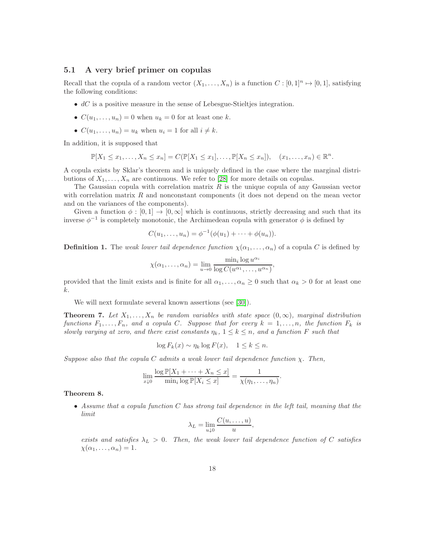#### 5.1 A very brief primer on copulas

Recall that the copula of a random vector  $(X_1, \ldots, X_n)$  is a function  $C : [0,1]^n \mapsto [0,1]$ , satisfying the following conditions:

- $dC$  is a positive measure in the sense of Lebesgue-Stieltjes integration.
- $C(u_1, \ldots, u_n) = 0$  when  $u_k = 0$  for at least one k.
- $C(u_1, \ldots, u_n) = u_k$  when  $u_i = 1$  for all  $i \neq k$ .

In addition, it is supposed that

$$
\mathbb{P}[X_1 \le x_1,\ldots,X_n \le x_n] = C(\mathbb{P}[X_1 \le x_1],\ldots,\mathbb{P}[X_n \le x_n]), \quad (x_1,\ldots,x_n) \in \mathbb{R}^n.
$$

A copula exists by Sklar's theorem and is uniquely defined in the case where the marginal distributions of  $X_1, \ldots, X_n$  are continuous. We refer to [\[28\]](#page-23-9) for more details on copulas.

The Gaussian copula with correlation matrix  $R$  is the unique copula of any Gaussian vector with correlation matrix  $R$  and nonconstant components (it does not depend on the mean vector and on the variances of the components).

Given a function  $\phi : [0, 1] \to [0, \infty]$  which is continuous, strictly decreasing and such that its inverse  $\phi^{-1}$  is completely monotonic, the Archimedean copula with generator  $\phi$  is defined by

$$
C(u_1,...,u_n) = \phi^{-1}(\phi(u_1) + \cdots + \phi(u_n)).
$$

**Definition 1.** The weak lower tail dependence function  $\chi(\alpha_1, \ldots, \alpha_n)$  of a copula C is defined by

$$
\chi(\alpha_1,\ldots,\alpha_n)=\lim_{u\to 0}\frac{\min_i\log u^{\alpha_i}}{\log C(u^{\alpha_1},\ldots,u^{\alpha_n})},
$$

provided that the limit exists and is finite for all  $\alpha_1, \ldots, \alpha_n \geq 0$  such that  $\alpha_k > 0$  for at least one k.

We will next formulate several known assertions (see [\[30\]](#page-23-7)).

<span id="page-17-0"></span>**Theorem 7.** Let  $X_1, \ldots, X_n$  be random variables with state space  $(0, \infty)$ , marginal distribution functions  $F_1, \ldots, F_n$ , and a copula C. Suppose that for every  $k = 1, \ldots, n$ , the function  $F_k$  is slowly varying at zero, and there exist constants  $\eta_k$ ,  $1 \leq k \leq n$ , and a function F such that

$$
\log F_k(x) \sim \eta_k \log F(x), \quad 1 \le k \le n.
$$

Suppose also that the copula C admits a weak lower tail dependence function  $\chi$ . Then,

$$
\lim_{x \downarrow 0} \frac{\log \mathbb{P}[X_1 + \dots + X_n \leq x]}{\min_i \log \mathbb{P}[X_i \leq x]} = \frac{1}{\chi(\eta_1, \dots, \eta_n)}.
$$

#### Theorem 8.

• Assume that a copula function  $C$  has strong tail dependence in the left tail, meaning that the limit

$$
\lambda_L = \lim_{u \downarrow 0} \frac{C(u, \dots, u)}{u},
$$

exists and satisfies  $\lambda_L > 0$ . Then, the weak lower tail dependence function of C satisfies  $\chi(\alpha_1, \ldots, \alpha_n) = 1.$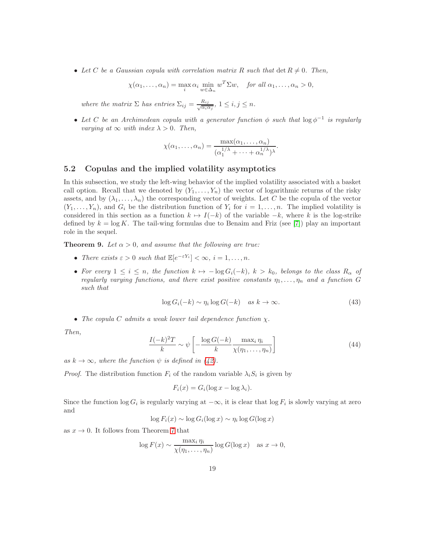• Let C be a Gaussian copula with correlation matrix R such that  $\det R \neq 0$ . Then,

 $\chi(\alpha_1, \ldots, \alpha_n) = \max_i \alpha_i \min_{w \in \Delta_n} w^T \Sigma w, \quad \text{for all } \alpha_1, \ldots, \alpha_n > 0,$ 

where the matrix  $\Sigma$  has entries  $\Sigma_{ij} = \frac{R_{ij}}{\sqrt{\alpha_i \alpha_j}}$ ,  $1 \le i, j \le n$ .

• Let C be an Archimedean copula with a generator function  $\phi$  such that  $\log \phi^{-1}$  is regularly varying at  $\infty$  with index  $\lambda > 0$ . Then,

$$
\chi(\alpha_1,\ldots,\alpha_n)=\frac{\max(\alpha_1,\ldots,\alpha_n)}{(\alpha_1^{1/\lambda}+\cdots+\alpha_n^{1/\lambda})^{\lambda}}.
$$

#### 5.2 Copulas and the implied volatility asymptotics

In this subsection, we study the left-wing behavior of the implied volatility associated with a basket call option. Recall that we denoted by  $(Y_1, \ldots, Y_n)$  the vector of logarithmic returns of the risky assets, and by  $(\lambda_1, \ldots, \lambda_n)$  the corresponding vector of weights. Let C be the copula of the vector  $(Y_1, \ldots, Y_n)$ , and  $G_i$  be the distribution function of  $Y_i$  for  $i = 1, \ldots, n$ . The implied volatility is considered in this section as a function  $k \mapsto I(-k)$  of the variable  $-k$ , where k is the log-strike defined by  $k = \log K$ . The tail-wing formulas due to Benaim and Friz (see [\[7\]](#page-22-0)) play an important role in the sequel.

<span id="page-18-0"></span>**Theorem 9.** Let  $\alpha > 0$ , and assume that the following are true:

- There exists  $\varepsilon > 0$  such that  $\mathbb{E}[e^{-\varepsilon Y_i}] < \infty$ ,  $i = 1, ..., n$ .
- For every  $1 \leq i \leq n$ , the function  $k \mapsto -\log G_i(-k)$ ,  $k > k_0$ , belongs to the class  $R_\alpha$  of regularly varying functions, and there exist positive constants  $\eta_1, \ldots, \eta_n$  and a function G such that

<span id="page-18-2"></span>
$$
\log G_i(-k) \sim \eta_i \log G(-k) \quad \text{as } k \to \infty. \tag{43}
$$

• The copula C admits a weak lower tail dependence function  $\chi$ .

Then,

<span id="page-18-1"></span>
$$
\frac{I(-k)^2T}{k} \sim \psi \left[ -\frac{\log G(-k)}{k} \frac{\max_i \eta_i}{\chi(\eta_1, \dots, \eta_n)} \right]
$$
(44)

as  $k \to \infty$ , where the function  $\psi$  is defined in [\(42\)](#page-15-6).

*Proof.* The distribution function  $F_i$  of the random variable  $\lambda_i S_i$  is given by

$$
F_i(x) = G_i(\log x - \log \lambda_i).
$$

Since the function  $\log G_i$  is regularly varying at  $-\infty$ , it is clear that  $\log F_i$  is slowly varying at zero and

 $\log F_i(x) \sim \log G_i(\log x) \sim \eta_i \log G(\log x)$ 

as  $x \to 0$ . It follows from Theorem [7](#page-17-0) that

$$
\log F(x) \sim \frac{\max_i \eta_i}{\chi(\eta_1, \dots, \eta_n)} \log G(\log x) \quad \text{as } x \to 0,
$$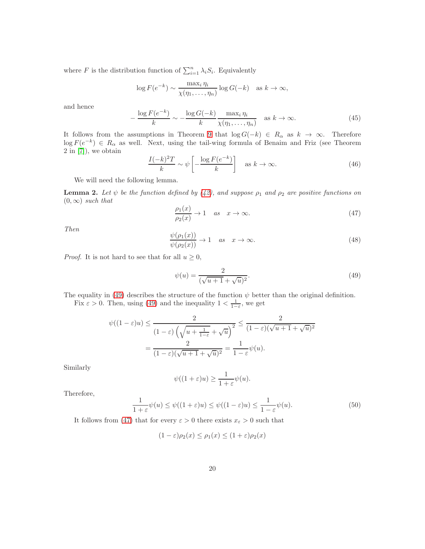where F is the distribution function of  $\sum_{i=1}^{n} \lambda_i S_i$ . Equivalently

$$
\log F(e^{-k}) \sim \frac{\max_i \eta_i}{\chi(\eta_1, \dots, \eta_n)} \log G(-k) \quad \text{as } k \to \infty,
$$

and hence

<span id="page-19-4"></span>
$$
-\frac{\log F(e^{-k})}{k} \sim -\frac{\log G(-k)}{k} \frac{\max_i \eta_i}{\chi(\eta_1, \dots, \eta_n)} \quad \text{as } k \to \infty.
$$
 (45)

It follows from the assumptions in Theorem [9](#page-18-0) that  $\log G(-k) \in R_{\alpha}$  as  $k \to \infty$ . Therefore  $\log F(e^{-k}) \in R_{\alpha}$  as well. Next, using the tail-wing formula of Benaim and Friz (see Theorem  $2$  in  $[7]$ , we obtain

<span id="page-19-5"></span>
$$
\frac{I(-k)^2T}{k} \sim \psi\left[-\frac{\log F(e^{-k})}{k}\right] \quad \text{as } k \to \infty.
$$
 (46)

We will need the following lemma.

<span id="page-19-6"></span>**Lemma 2.** Let  $\psi$  be the function defined by [\(42\)](#page-15-6), and suppose  $\rho_1$  and  $\rho_2$  are positive functions on  $(0, \infty)$  such that

<span id="page-19-1"></span>
$$
\frac{\rho_1(x)}{\rho_2(x)} \to 1 \quad as \quad x \to \infty. \tag{47}
$$

Then

<span id="page-19-3"></span>
$$
\frac{\psi(\rho_1(x))}{\psi(\rho_2(x))} \to 1 \quad as \quad x \to \infty. \tag{48}
$$

*Proof.* It is not hard to see that for all  $u \geq 0$ ,

<span id="page-19-0"></span>
$$
\psi(u) = \frac{2}{(\sqrt{u+1} + \sqrt{u})^2}.\tag{49}
$$

The equality in [\(49\)](#page-19-0) describes the structure of the function  $\psi$  better than the original definition.

Fix  $\varepsilon > 0$ . Then, using [\(49\)](#page-19-0) and the inequality  $1 < \frac{1}{1-\varepsilon}$ , we get

$$
\psi((1-\varepsilon)u) \le \frac{2}{(1-\varepsilon)\left(\sqrt{u+\frac{1}{1-\varepsilon}}+\sqrt{u}\right)^2} \le \frac{2}{(1-\varepsilon)(\sqrt{u+1}+\sqrt{u})^2}
$$

$$
= \frac{2}{(1-\varepsilon)(\sqrt{u+1}+\sqrt{u})^2} = \frac{1}{1-\varepsilon}\psi(u).
$$

Similarly

$$
\psi((1+\varepsilon)u) \ge \frac{1}{1+\varepsilon}\psi(u).
$$

Therefore,

<span id="page-19-2"></span>
$$
\frac{1}{1+\varepsilon}\psi(u) \le \psi((1+\varepsilon)u) \le \psi((1-\varepsilon)u) \le \frac{1}{1-\varepsilon}\psi(u). \tag{50}
$$

It follows from [\(47\)](#page-19-1) that for every  $\varepsilon > 0$  there exists  $x_{\varepsilon} > 0$  such that

$$
(1 - \varepsilon)\rho_2(x) \le \rho_1(x) \le (1 + \varepsilon)\rho_2(x)
$$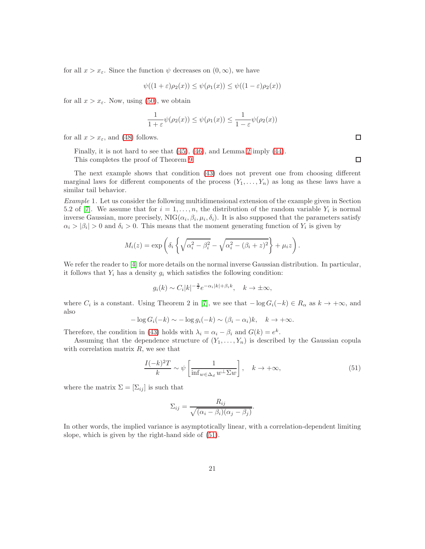for all  $x > x_{\varepsilon}$ . Since the function  $\psi$  decreases on  $(0, \infty)$ , we have

$$
\psi((1+\varepsilon)\rho_2(x)) \le \psi(\rho_1(x)) \le \psi((1-\varepsilon)\rho_2(x))
$$

for all  $x > x_{\varepsilon}$ . Now, using [\(50\)](#page-19-2), we obtain

$$
\frac{1}{1+\varepsilon}\psi(\rho_2(x)) \le \psi(\rho_1(x)) \le \frac{1}{1-\varepsilon}\psi(\rho_2(x))
$$

for all  $x > x_{\varepsilon}$ , and [\(48\)](#page-19-3) follows.

Finally, it is not hard to see that [\(45\)](#page-19-4), [\(46\)](#page-19-5), and Lemma [2](#page-19-6) imply [\(44\)](#page-18-1). This completes the proof of Theorem [9.](#page-18-0)

The next example shows that condition [\(43\)](#page-18-2) does not prevent one from choosing different marginal laws for different components of the process  $(Y_1, \ldots, Y_n)$  as long as these laws have a similar tail behavior.

Example 1. Let us consider the following multidimensional extension of the example given in Section 5.2 of [\[7\]](#page-22-0). We assume that for  $i = 1, \ldots, n$ , the distribution of the random variable  $Y_i$  is normal inverse Gaussian, more precisely,  $NIG(\alpha_i, \beta_i, \mu_i, \delta_i)$ . It is also supposed that the parameters satisfy  $\alpha_i > |\beta_i| > 0$  and  $\delta_i > 0$ . This means that the moment generating function of  $Y_i$  is given by

$$
M_i(z) = \exp\left(\delta_i \left\{\sqrt{\alpha_i^2 - \beta_i^2} - \sqrt{\alpha_i^2 - (\beta_i + z)^2}\right\} + \mu_i z\right).
$$

We refer the reader to [\[4\]](#page-21-5) for more details on the normal inverse Gaussian distribution. In particular, it follows that  $Y_i$  has a density  $g_i$  which satisfies the following condition:

$$
g_i(k) \sim C_i |k|^{-\frac{3}{2}} e^{-\alpha_i |k| + \beta_i k}, \quad k \to \pm \infty,
$$

where  $C_i$  is a constant. Using Theorem 2 in [\[7\]](#page-22-0), we see that  $-\log G_i(-k) \in R_\alpha$  as  $k \to +\infty$ , and also

$$
-\log G_i(-k) \sim -\log g_i(-k) \sim (\beta_i - \alpha_i)k, \quad k \to +\infty.
$$

Therefore, the condition in [\(43\)](#page-18-2) holds with  $\lambda_i = \alpha_i - \beta_i$  and  $G(k) = e^k$ .

Assuming that the dependence structure of  $(Y_1, \ldots, Y_n)$  is described by the Gaussian copula with correlation matrix  $R$ , we see that

$$
\frac{I(-k)^2T}{k} \sim \psi \left[ \frac{1}{\inf_{w \in \Delta_d} w^\perp \Sigma w} \right], \quad k \to +\infty,
$$
\n(51)

where the matrix  $\Sigma = [\Sigma_{ij}]$  is such that

<span id="page-20-0"></span>
$$
\Sigma_{ij} = \frac{R_{ij}}{\sqrt{(\alpha_i - \beta_i)(\alpha_j - \beta_j)}}.
$$

In other words, the implied variance is asymptotically linear, with a correlation-dependent limiting slope, which is given by the right-hand side of [\(51\)](#page-20-0).

 $\Box$ 

 $\Box$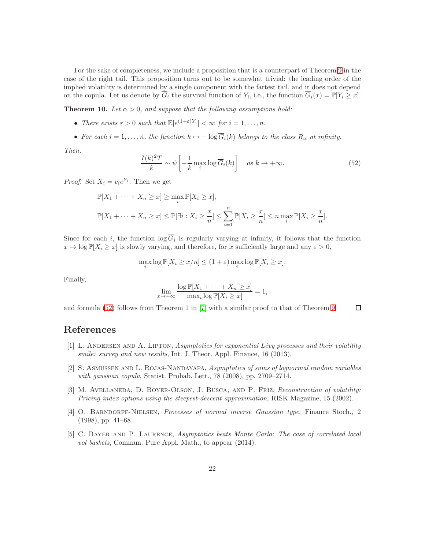For the sake of completeness, we include a proposition that is a counterpart of Theorem [9](#page-18-0) in the case of the right tail. This proposition turns out to be somewhat trivial: the leading order of the implied volatility is determined by a single component with the fattest tail, and it does not depend on the copula. Let us denote by  $\overline{G}_i$  the survival function of  $Y_i$ , i.e., the function  $\overline{G}_i(x) = \mathbb{P}[Y_i \geq x]$ .

<span id="page-21-4"></span>**Theorem 10.** Let  $\alpha > 0$ , and suppose that the following assumptions hold:

- There exists  $\varepsilon > 0$  such that  $\mathbb{E}[e^{(1+\varepsilon)Y_i}] < \infty$  for  $i = 1, ..., n$ .
- For each  $i = 1, \ldots, n$ , the function  $k \mapsto -\log \overline{G}_i(k)$  belongs to the class  $R_\alpha$  at infinity.

Then,

<span id="page-21-6"></span>
$$
\frac{I(k)^2 T}{k} \sim \psi \left[ -\frac{1}{k} \max_i \log \overline{G}_i(k) \right] \quad \text{as } k \to +\infty. \tag{52}
$$

*Proof.* Set  $X_i = v_i e^{Y_i}$ . Then we get

$$
\mathbb{P}[X_1 + \dots + X_n \ge x] \ge \max_i \mathbb{P}[X_i \ge x],
$$
  

$$
\mathbb{P}[X_1 + \dots + X_n \ge x] \le \mathbb{P}[\exists i : X_i \ge \frac{x}{n}] \le \sum_{i=1}^n \mathbb{P}[X_i \ge \frac{x}{n}] \le n \max_i \mathbb{P}[X_i \ge \frac{x}{n}].
$$

Since for each i, the function  $\log G_i$  is regularly varying at infinity, it follows that the function  $x \mapsto \log \mathbb{P}[X_i \geq x]$  is slowly varying, and therefore, for x sufficiently large and any  $\varepsilon > 0$ ,

$$
\max_{i} \log \mathbb{P}[X_i \ge x/n] \le (1+\varepsilon) \max_{i} \log \mathbb{P}[X_i \ge x].
$$

Finally,

$$
\lim_{x \to +\infty} \frac{\log \mathbb{P}[X_1 + \dots + X_n \ge x]}{\max_i \log \mathbb{P}[X_i \ge x]} = 1,
$$

and formula [\(52\)](#page-21-6) follows from Theorem 1 in [\[7\]](#page-22-0) with a similar proof to that of Theorem [9.](#page-18-0)  $\Box$ 

# <span id="page-21-0"></span>References

- $[1]$  L. ANDERSEN AND A. LIPTON, Asymptotics for exponential Lévy processes and their volatility smile: survey and new results, Int. J. Theor. Appl. Finance, 16 (2013).
- <span id="page-21-3"></span>[2] S. Asmussen and L. Rojas-Nandayapa, Asymptotics of sums of lognormal random variables with gaussian copula, Statist. Probab. Lett., 78 (2008), pp. 2709–2714.
- <span id="page-21-1"></span>[3] M. AVELLANEDA, D. BOYER-OLSON, J. BUSCA, AND P. FRIZ, Reconstruction of volatility: Pricing index options using the steepest-descent approximation, RISK Magazine, 15 (2002).
- <span id="page-21-5"></span>[4] O. BARNDORFF-NIELSEN, Processes of normal inverse Gaussian type, Finance Stoch., 2  $(1998)$ , pp.  $41-68$ .
- <span id="page-21-2"></span>[5] C. Bayer and P. Laurence, Asymptotics beats Monte Carlo: The case of correlated local vol baskets, Commun. Pure Appl. Math., to appear (2014).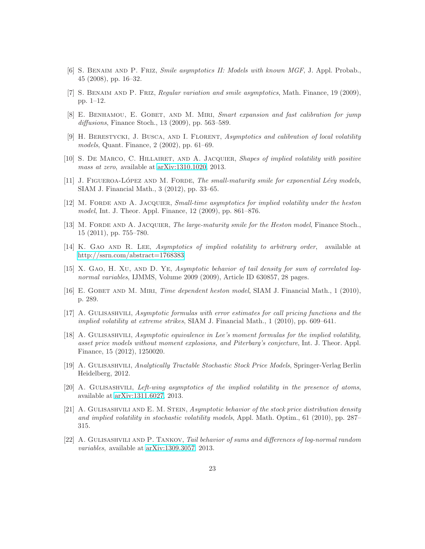- <span id="page-22-1"></span><span id="page-22-0"></span>[6] S. BENAIM AND P. FRIZ, Smile asymptotics II: Models with known MGF, J. Appl. Probab., 45 (2008), pp. 16–32.
- <span id="page-22-10"></span>[7] S. Benaim and P. Friz, Regular variation and smile asymptotics, Math. Finance, 19 (2009), pp. 1–12.
- <span id="page-22-6"></span>[8] E. BENHAMOU, E. GOBET, AND M. MIRI, Smart expansion and fast calibration for jump diffusions, Finance Stoch., 13 (2009), pp. 563–589.
- [9] H. BERESTYCKI, J. BUSCA, AND I. FLORENT, Asymptotics and calibration of local volatility models, Quant. Finance, 2 (2002), pp. 61–69.
- <span id="page-22-13"></span><span id="page-22-8"></span>[10] S. De Marco, C. Hillairet, and A. Jacquier, Shapes of implied volatility with positive mass at zero, available at [arXiv:1310.1020,](http://arxiv.org/abs/1310.1020) 2013.
- [11] J. FIGUEROA-LÓPEZ AND M. FORDE, The small-maturity smile for exponential Lévy models, SIAM J. Financial Math., 3 (2012), pp. 33–65.
- <span id="page-22-7"></span>[12] M. FORDE AND A. JACQUIER, Small-time asymptotics for implied volatility under the heston model, Int. J. Theor. Appl. Finance, 12 (2009), pp. 861–876.
- <span id="page-22-9"></span>[13] M. FORDE AND A. JACQUIER, The large-maturity smile for the Heston model, Finance Stoch., 15 (2011), pp. 755–780.
- <span id="page-22-5"></span>[14] K. GAO AND R. LEE, Asymptotics of implied volatility to arbitrary order, available at [http://ssrn.com/abstract=1768383.](http://ssrn.com/abstract=1768383)
- <span id="page-22-16"></span>[15] X. Gao, H. Xu, and D. Ye, Asymptotic behavior of tail density for sum of correlated lognormal variables, IJMMS, Volume 2009 (2009), Article ID 630857, 28 pages.
- <span id="page-22-11"></span>[16] E. Gobet and M. Miri, Time dependent heston model, SIAM J. Financial Math., 1 (2010), p. 289.
- <span id="page-22-2"></span>[17] A. Gulisashvili, Asymptotic formulas with error estimates for call pricing functions and the implied volatility at extreme strikes, SIAM J. Financial Math., 1 (2010), pp. 609–641.
- <span id="page-22-3"></span>[18] A. GULISASHVILI, Asymptotic equivalence in Lee's moment formulas for the implied volatility, asset price models without moment explosions, and Piterbarg's conjecture, Int. J. Theor. Appl. Finance, 15 (2012), 1250020.
- <span id="page-22-4"></span>[19] A. Gulisashvili, Analytically Tractable Stochastic Stock Price Models, Springer-Verlag Berlin Heidelberg, 2012.
- <span id="page-22-14"></span>[20] A. GULISASHVILI, Left-wing asymptotics of the implied volatility in the presence of atoms, available at [arXiv:1311.6027,](http://arxiv.org/abs/1311.6027) 2013.
- <span id="page-22-15"></span>[21] A. GULISASHVILI AND E. M. STEIN, Asymptotic behavior of the stock price distribution density and implied volatility in stochastic volatility models, Appl. Math. Optim., 61 (2010), pp. 287– 315.
- <span id="page-22-12"></span>[22] A. Gulisashvili and P. Tankov, Tail behavior of sums and differences of log-normal random variables, available at [arXiv:1309.3057,](http://arxiv.org/abs/1309.3057) 2013.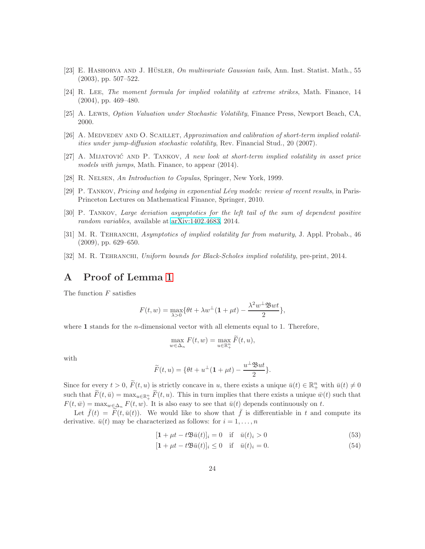- <span id="page-23-8"></span><span id="page-23-1"></span>[23] E. HASHORVA AND J. HÜSLER, On multivariate Gaussian tails, Ann. Inst. Statist. Math., 55 (2003), pp. 507–522.
- <span id="page-23-0"></span>[24] R. Lee, The moment formula for implied volatility at extreme strikes, Math. Finance, 14 (2004), pp. 469–480.
- <span id="page-23-3"></span>[25] A. Lewis, Option Valuation under Stochastic Volatility, Finance Press, Newport Beach, CA, 2000.
- [26] A. MEDVEDEV AND O. SCAILLET, Approximation and calibration of short-term implied volatilities under jump-diffusion stochastic volatility, Rev. Financial Stud., 20 (2007).
- <span id="page-23-4"></span> $[27]$  A. MIJATOVIC AND P. TANKOV, A new look at short-term implied volatility in asset price models with jumps, Math. Finance, to appear  $(2014)$ .
- <span id="page-23-9"></span><span id="page-23-5"></span>[28] R. Nelsen, An Introduction to Copulas, Springer, New York, 1999.
- <span id="page-23-7"></span>[29] P. TANKOV, Pricing and hedging in exponential Lévy models: review of recent results, in Paris-Princeton Lectures on Mathematical Finance, Springer, 2010.
- [30] P. Tankov, Large deviation asymptotics for the left tail of the sum of dependent positive random variables, available at [arXiv:1402.4683,](http://arxiv.org/abs/1402.4683) 2014.
- <span id="page-23-6"></span>[31] M. R. TEHRANCHI, Asymptotics of implied volatility far from maturity, J. Appl. Probab., 46 (2009), pp. 629–650.
- <span id="page-23-2"></span>[32] M. R. TEHRANCHI, Uniform bounds for Black-Scholes implied volatility, pre-print, 2014.

# A Proof of Lemma [1](#page-12-2)

The function  $F$  satisfies

$$
F(t, w) = \max_{\lambda > 0} \{ \theta t + \lambda w^{\perp} (1 + \mu t) - \frac{\lambda^2 w^{\perp} \mathfrak{B} wt}{2} \},
$$

where 1 stands for the *n*-dimensional vector with all elements equal to 1. Therefore,

$$
\max_{w \in \Delta_n} F(t, w) = \max_{u \in \mathbb{R}^n_+} \widetilde{F}(t, u),
$$

with

$$
\widetilde{F}(t,u)=\{ \theta t+u^\perp(\mathbf{1}+\mu t)-\frac{u^\perp\mathfrak{B}ut}{2}\}.
$$

Since for every  $t > 0$ ,  $\widetilde{F}(t, u)$  is strictly concave in u, there exists a unique  $\bar{u}(t) \in \mathbb{R}^n_+$  with  $\bar{u}(t) \neq 0$ such that  $F(t, \bar{u}) = \max_{u \in \mathbb{R}_+^n} F(t, u)$ . This in turn implies that there exists a unique  $\bar{w}(t)$  such that  $F(t, \bar{w}) = \max_{w \in \Delta_n} F(t, w)$ . It is also easy to see that  $\bar{u}(t)$  depends continuously on t.

Let  $\bar{f}(t) = \tilde{F}(t, \bar{u}(t))$ . We would like to show that  $\bar{f}$  is differentiable in t and compute its derivative.  $\bar{u}(t)$  may be characterized as follows: for  $i = 1, \ldots, n$ 

<span id="page-23-11"></span><span id="page-23-10"></span>
$$
[\mathbf{1} + \mu t - t \mathfrak{B}\bar{u}(t)]_i = 0 \quad \text{if} \quad \bar{u}(t)_i > 0 \tag{53}
$$

$$
[\mathbf{1} + \mu t - t \mathfrak{B}\bar{u}(t)]_i \le 0 \quad \text{if} \quad \bar{u}(t)_i = 0. \tag{54}
$$